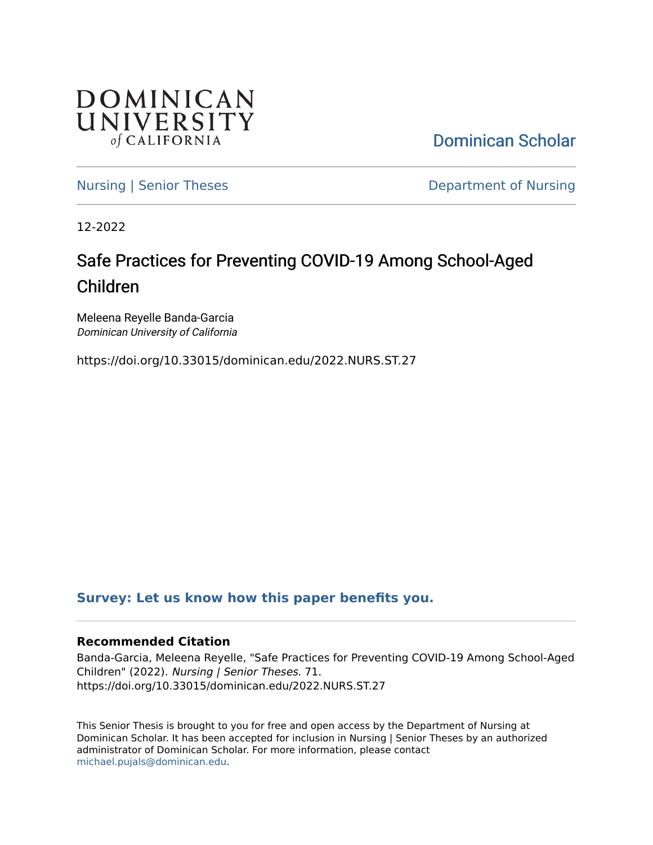

[Dominican Scholar](https://scholar.dominican.edu/) 

[Nursing | Senior Theses](https://scholar.dominican.edu/nursing-senior-theses) **Department of Nursing** 

12-2022

# Safe Practices for Preventing COVID-19 Among School-Aged Children

Meleena Reyelle Banda-Garcia Dominican University of California

https://doi.org/10.33015/dominican.edu/2022.NURS.ST.27

# **[Survey: Let us know how this paper benefits you.](https://dominican.libwizard.com/dominican-scholar-feedback)**

## **Recommended Citation**

Banda-Garcia, Meleena Reyelle, "Safe Practices for Preventing COVID-19 Among School-Aged Children" (2022). Nursing | Senior Theses. 71. https://doi.org/10.33015/dominican.edu/2022.NURS.ST.27

This Senior Thesis is brought to you for free and open access by the Department of Nursing at Dominican Scholar. It has been accepted for inclusion in Nursing | Senior Theses by an authorized administrator of Dominican Scholar. For more information, please contact [michael.pujals@dominican.edu.](mailto:michael.pujals@dominican.edu)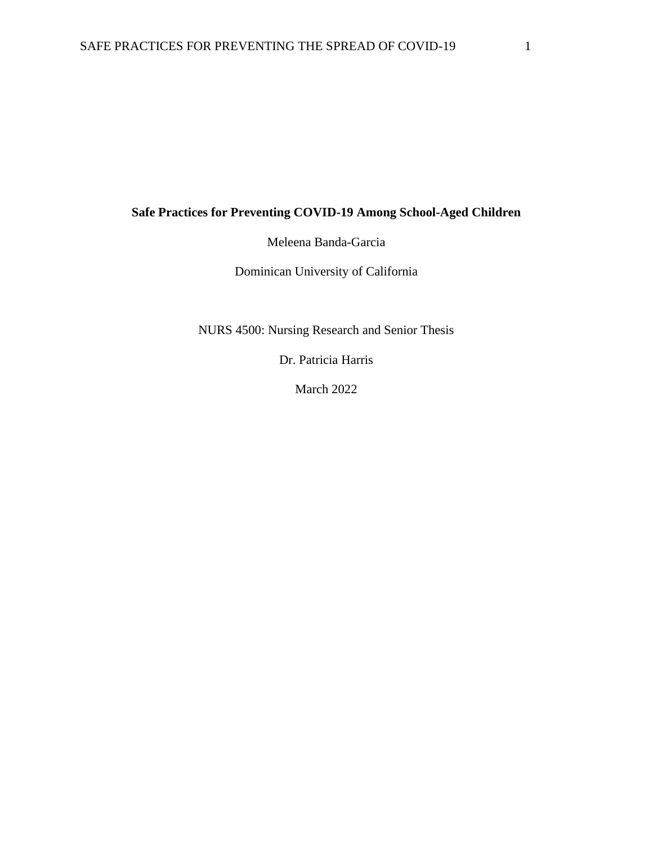# **Safe Practices for Preventing COVID-19 Among School-Aged Children**

Meleena Banda-Garcia

Dominican University of California

NURS 4500: Nursing Research and Senior Thesis

Dr. Patricia Harris

March 2022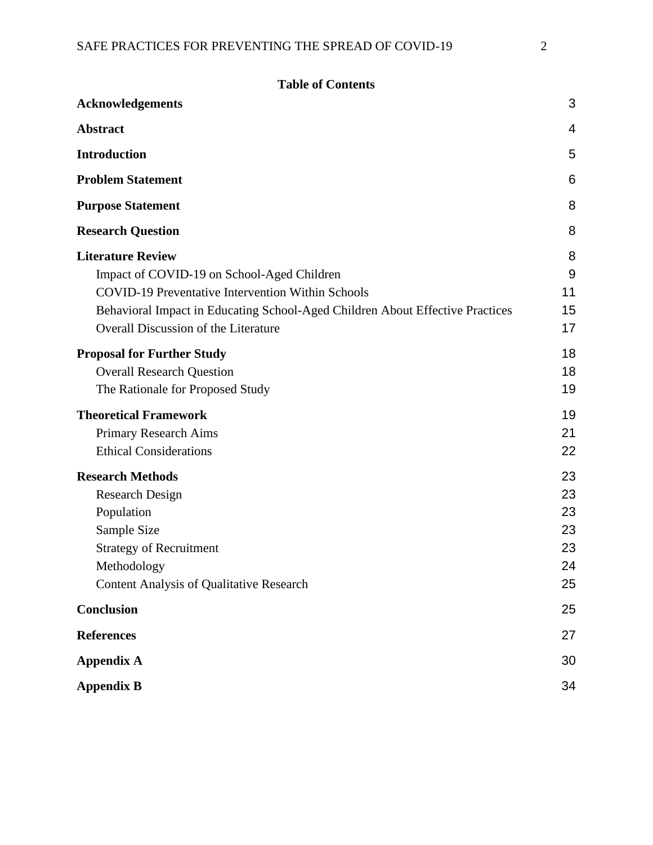**Table of Contents**

| <b>Acknowledgements</b>                                                                                                                                                                                                                                     | 3                                      |
|-------------------------------------------------------------------------------------------------------------------------------------------------------------------------------------------------------------------------------------------------------------|----------------------------------------|
| <b>Abstract</b>                                                                                                                                                                                                                                             | 4                                      |
| <b>Introduction</b>                                                                                                                                                                                                                                         | 5                                      |
| <b>Problem Statement</b>                                                                                                                                                                                                                                    | 6                                      |
| <b>Purpose Statement</b>                                                                                                                                                                                                                                    | 8                                      |
| <b>Research Question</b>                                                                                                                                                                                                                                    | 8                                      |
| <b>Literature Review</b><br>Impact of COVID-19 on School-Aged Children<br><b>COVID-19 Preventative Intervention Within Schools</b><br>Behavioral Impact in Educating School-Aged Children About Effective Practices<br>Overall Discussion of the Literature | 8<br>9<br>11<br>15<br>17               |
| <b>Proposal for Further Study</b><br><b>Overall Research Question</b><br>The Rationale for Proposed Study                                                                                                                                                   | 18<br>18<br>19                         |
| <b>Theoretical Framework</b><br>Primary Research Aims<br><b>Ethical Considerations</b>                                                                                                                                                                      | 19<br>21<br>22                         |
| <b>Research Methods</b><br><b>Research Design</b><br>Population<br>Sample Size<br><b>Strategy of Recruitment</b><br>Methodology<br><b>Content Analysis of Qualitative Research</b>                                                                          | 23<br>23<br>23<br>23<br>23<br>24<br>25 |
| Conclusion                                                                                                                                                                                                                                                  | 25                                     |
| <b>References</b>                                                                                                                                                                                                                                           | 27                                     |
| <b>Appendix A</b>                                                                                                                                                                                                                                           | 30                                     |
| <b>Appendix B</b>                                                                                                                                                                                                                                           | 34                                     |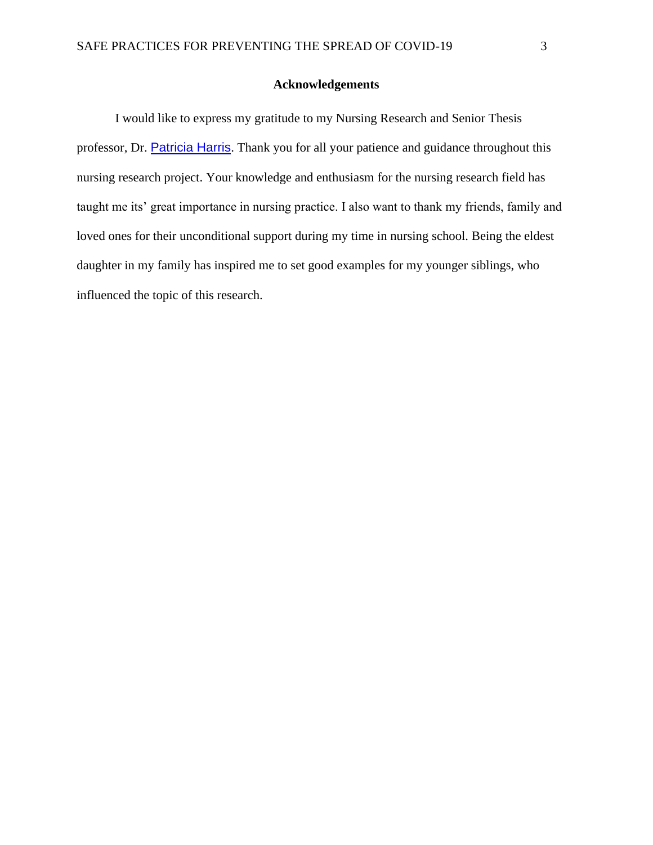### **Acknowledgements**

<span id="page-3-0"></span>I would like to express my gratitude to my Nursing Research and Senior Thesis professor, Dr. [Patricia Harris](mailto:patricia.harris@dominican.edu). Thank you for all your patience and guidance throughout this nursing research project. Your knowledge and enthusiasm for the nursing research field has taught me its' great importance in nursing practice. I also want to thank my friends, family and loved ones for their unconditional support during my time in nursing school. Being the eldest daughter in my family has inspired me to set good examples for my younger siblings, who influenced the topic of this research.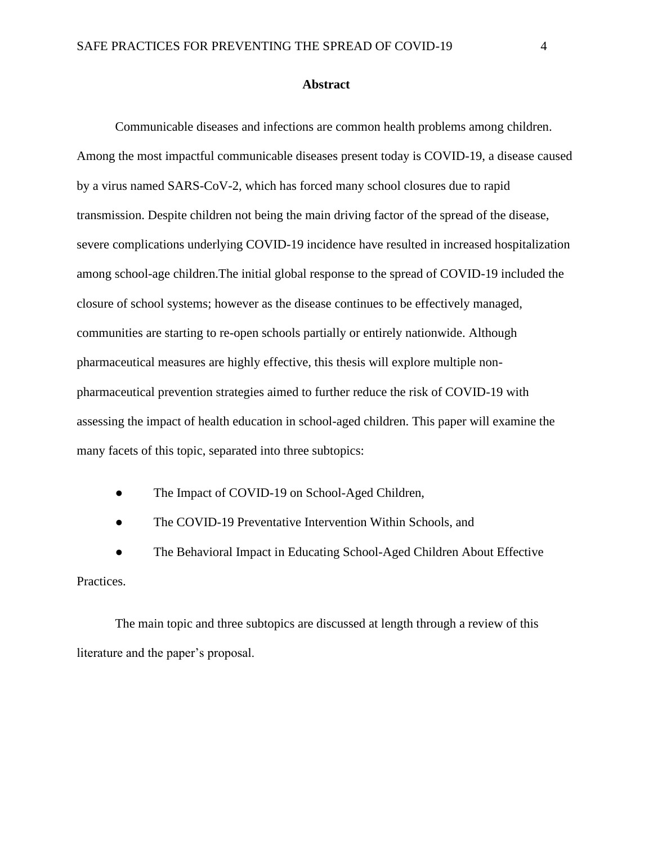#### **Abstract**

<span id="page-4-0"></span>Communicable diseases and infections are common health problems among children. Among the most impactful communicable diseases present today is COVID-19, a disease caused by a virus named SARS-CoV-2, which has forced many school closures due to rapid transmission. Despite children not being the main driving factor of the spread of the disease, severe complications underlying COVID-19 incidence have resulted in increased hospitalization among school-age children.The initial global response to the spread of COVID-19 included the closure of school systems; however as the disease continues to be effectively managed, communities are starting to re-open schools partially or entirely nationwide. Although pharmaceutical measures are highly effective, this thesis will explore multiple nonpharmaceutical prevention strategies aimed to further reduce the risk of COVID-19 with assessing the impact of health education in school-aged children. This paper will examine the many facets of this topic, separated into three subtopics:

- The Impact of COVID-19 on School-Aged Children,
- The COVID-19 Preventative Intervention Within Schools, and

The Behavioral Impact in Educating School-Aged Children About Effective Practices.

The main topic and three subtopics are discussed at length through a review of this literature and the paper's proposal.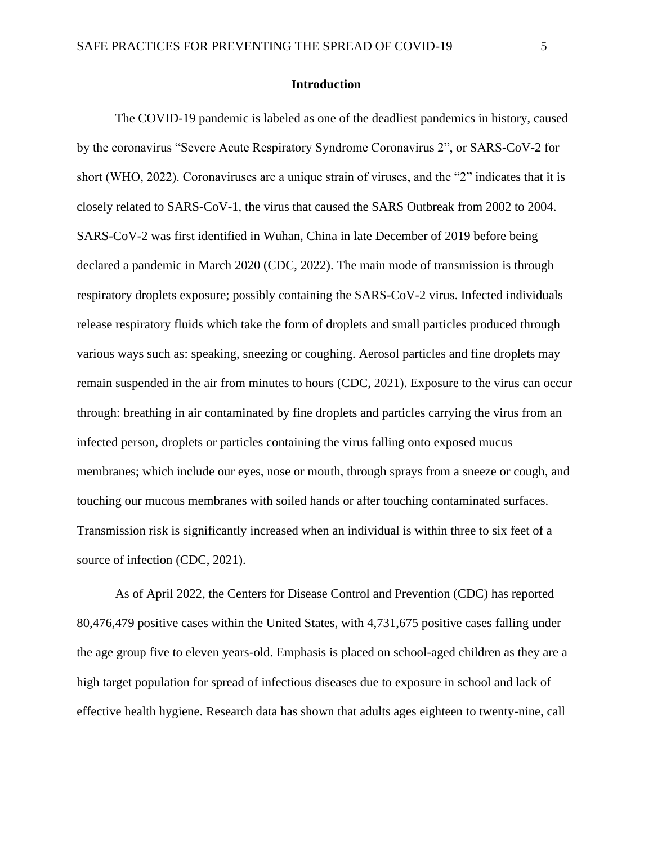#### **Introduction**

<span id="page-5-0"></span>The COVID-19 pandemic is labeled as one of the deadliest pandemics in history, caused by the coronavirus "Severe Acute Respiratory Syndrome Coronavirus 2", or SARS-CoV-2 for short (WHO, 2022). Coronaviruses are a unique strain of viruses, and the "2" indicates that it is closely related to SARS-CoV-1, the virus that caused the SARS Outbreak from 2002 to 2004. SARS-CoV-2 was first identified in Wuhan, China in late December of 2019 before being declared a pandemic in March 2020 (CDC, 2022). The main mode of transmission is through respiratory droplets exposure; possibly containing the SARS-CoV-2 virus. Infected individuals release respiratory fluids which take the form of droplets and small particles produced through various ways such as: speaking, sneezing or coughing. Aerosol particles and fine droplets may remain suspended in the air from minutes to hours (CDC, 2021). Exposure to the virus can occur through: breathing in air contaminated by fine droplets and particles carrying the virus from an infected person, droplets or particles containing the virus falling onto exposed mucus membranes; which include our eyes, nose or mouth, through sprays from a sneeze or cough, and touching our mucous membranes with soiled hands or after touching contaminated surfaces. Transmission risk is significantly increased when an individual is within three to six feet of a source of infection (CDC, 2021).

As of April 2022, the Centers for Disease Control and Prevention (CDC) has reported 80,476,479 positive cases within the United States, with 4,731,675 positive cases falling under the age group five to eleven years-old. Emphasis is placed on school-aged children as they are a high target population for spread of infectious diseases due to exposure in school and lack of effective health hygiene. Research data has shown that adults ages eighteen to twenty-nine, call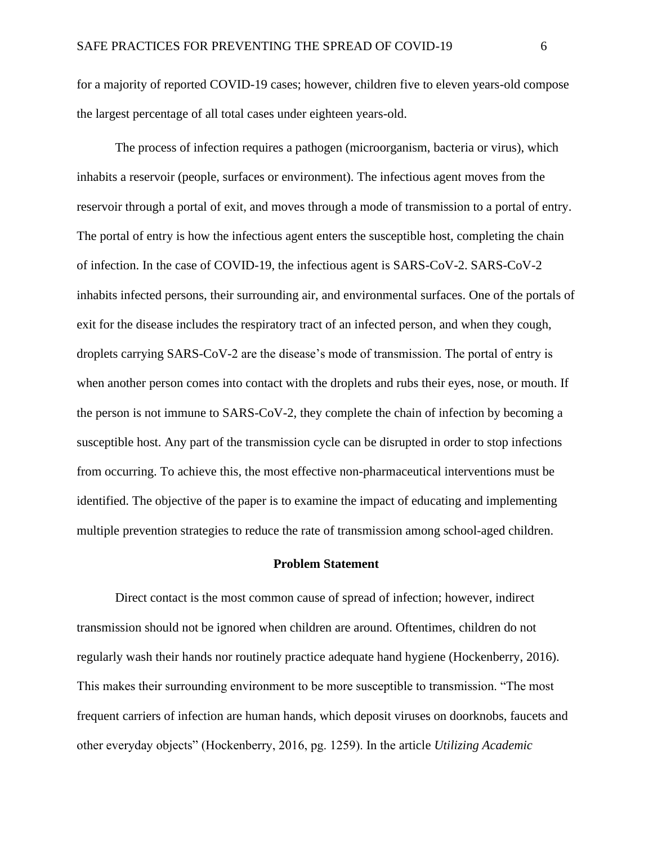for a majority of reported COVID-19 cases; however, children five to eleven years-old compose the largest percentage of all total cases under eighteen years-old.

The process of infection requires a pathogen (microorganism, bacteria or virus), which inhabits a reservoir (people, surfaces or environment). The infectious agent moves from the reservoir through a portal of exit, and moves through a mode of transmission to a portal of entry. The portal of entry is how the infectious agent enters the susceptible host, completing the chain of infection. In the case of COVID-19, the infectious agent is SARS-CoV-2. SARS-CoV-2 inhabits infected persons, their surrounding air, and environmental surfaces. One of the portals of exit for the disease includes the respiratory tract of an infected person, and when they cough, droplets carrying SARS-CoV-2 are the disease's mode of transmission. The portal of entry is when another person comes into contact with the droplets and rubs their eyes, nose, or mouth. If the person is not immune to SARS-CoV-2, they complete the chain of infection by becoming a susceptible host. Any part of the transmission cycle can be disrupted in order to stop infections from occurring. To achieve this, the most effective non-pharmaceutical interventions must be identified. The objective of the paper is to examine the impact of educating and implementing multiple prevention strategies to reduce the rate of transmission among school-aged children.

#### **Problem Statement**

<span id="page-6-0"></span>Direct contact is the most common cause of spread of infection; however, indirect transmission should not be ignored when children are around. Oftentimes, children do not regularly wash their hands nor routinely practice adequate hand hygiene (Hockenberry, 2016). This makes their surrounding environment to be more susceptible to transmission. "The most frequent carriers of infection are human hands, which deposit viruses on doorknobs, faucets and other everyday objects" (Hockenberry, 2016, pg. 1259). In the article *Utilizing Academic*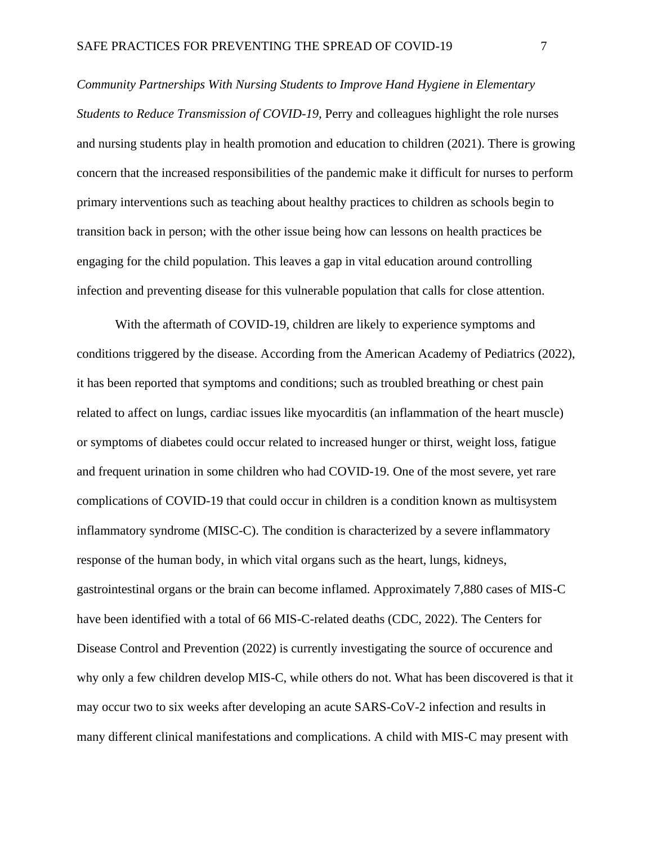*Community Partnerships With Nursing Students to Improve Hand Hygiene in Elementary Students to Reduce Transmission of COVID-19,* Perry and colleagues highlight the role nurses and nursing students play in health promotion and education to children (2021). There is growing concern that the increased responsibilities of the pandemic make it difficult for nurses to perform primary interventions such as teaching about healthy practices to children as schools begin to transition back in person; with the other issue being how can lessons on health practices be engaging for the child population. This leaves a gap in vital education around controlling infection and preventing disease for this vulnerable population that calls for close attention.

With the aftermath of COVID-19, children are likely to experience symptoms and conditions triggered by the disease. According from the American Academy of Pediatrics (2022), it has been reported that symptoms and conditions; such as troubled breathing or chest pain related to affect on lungs, cardiac issues like myocarditis (an inflammation of the heart muscle) or symptoms of diabetes could occur related to increased hunger or thirst, weight loss, fatigue and frequent urination in some children who had COVID-19. One of the most severe, yet rare complications of COVID-19 that could occur in children is a condition known as multisystem inflammatory syndrome (MISC-C). The condition is characterized by a severe inflammatory response of the human body, in which vital organs such as the heart, lungs, kidneys, gastrointestinal organs or the brain can become inflamed. Approximately 7,880 cases of MIS-C have been identified with a total of 66 MIS-C-related deaths (CDC, 2022). The Centers for Disease Control and Prevention (2022) is currently investigating the source of occurence and why only a few children develop MIS-C, while others do not. What has been discovered is that it may occur two to six weeks after developing an acute SARS-CoV-2 infection and results in many different clinical manifestations and complications. A child with MIS-C may present with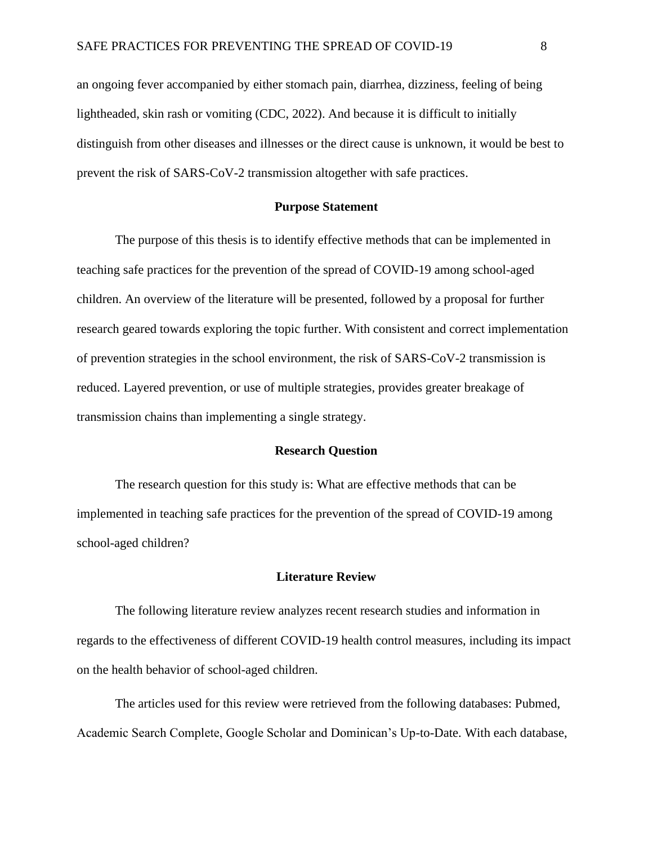an ongoing fever accompanied by either stomach pain, diarrhea, dizziness, feeling of being lightheaded, skin rash or vomiting (CDC, 2022). And because it is difficult to initially distinguish from other diseases and illnesses or the direct cause is unknown, it would be best to prevent the risk of SARS-CoV-2 transmission altogether with safe practices.

#### **Purpose Statement**

<span id="page-8-0"></span>The purpose of this thesis is to identify effective methods that can be implemented in teaching safe practices for the prevention of the spread of COVID-19 among school-aged children. An overview of the literature will be presented, followed by a proposal for further research geared towards exploring the topic further. With consistent and correct implementation of prevention strategies in the school environment, the risk of SARS-CoV-2 transmission is reduced. Layered prevention, or use of multiple strategies, provides greater breakage of transmission chains than implementing a single strategy.

#### **Research Question**

<span id="page-8-1"></span>The research question for this study is: What are effective methods that can be implemented in teaching safe practices for the prevention of the spread of COVID-19 among school-aged children?

#### **Literature Review**

<span id="page-8-2"></span>The following literature review analyzes recent research studies and information in regards to the effectiveness of different COVID-19 health control measures, including its impact on the health behavior of school-aged children.

The articles used for this review were retrieved from the following databases: Pubmed, Academic Search Complete, Google Scholar and Dominican's Up-to-Date. With each database,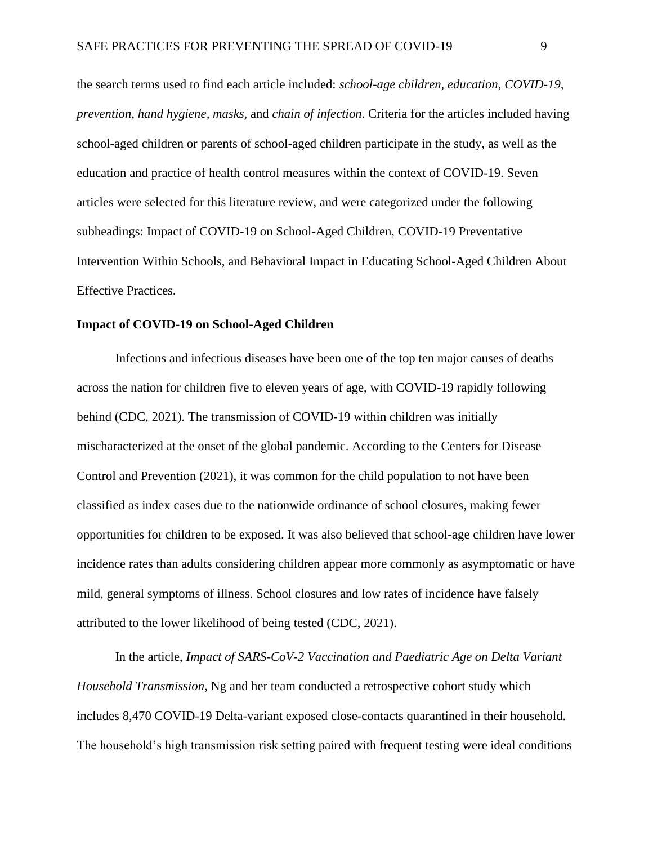the search terms used to find each article included: *school-age children, education, COVID-19, prevention, hand hygiene, masks,* and *chain of infection*. Criteria for the articles included having school-aged children or parents of school-aged children participate in the study, as well as the education and practice of health control measures within the context of COVID-19. Seven articles were selected for this literature review, and were categorized under the following subheadings: Impact of COVID-19 on School-Aged Children, COVID-19 Preventative Intervention Within Schools, and Behavioral Impact in Educating School-Aged Children About Effective Practices.

#### <span id="page-9-0"></span>**Impact of COVID-19 on School-Aged Children**

Infections and infectious diseases have been one of the top ten major causes of deaths across the nation for children five to eleven years of age, with COVID-19 rapidly following behind (CDC, 2021). The transmission of COVID-19 within children was initially mischaracterized at the onset of the global pandemic. According to the Centers for Disease Control and Prevention (2021), it was common for the child population to not have been classified as index cases due to the nationwide ordinance of school closures, making fewer opportunities for children to be exposed. It was also believed that school-age children have lower incidence rates than adults considering children appear more commonly as asymptomatic or have mild, general symptoms of illness. School closures and low rates of incidence have falsely attributed to the lower likelihood of being tested (CDC, 2021).

In the article, *Impact of SARS-CoV-2 Vaccination and Paediatric Age on Delta Variant Household Transmission*, Ng and her team conducted a retrospective cohort study which includes 8,470 COVID-19 Delta-variant exposed close-contacts quarantined in their household. The household's high transmission risk setting paired with frequent testing were ideal conditions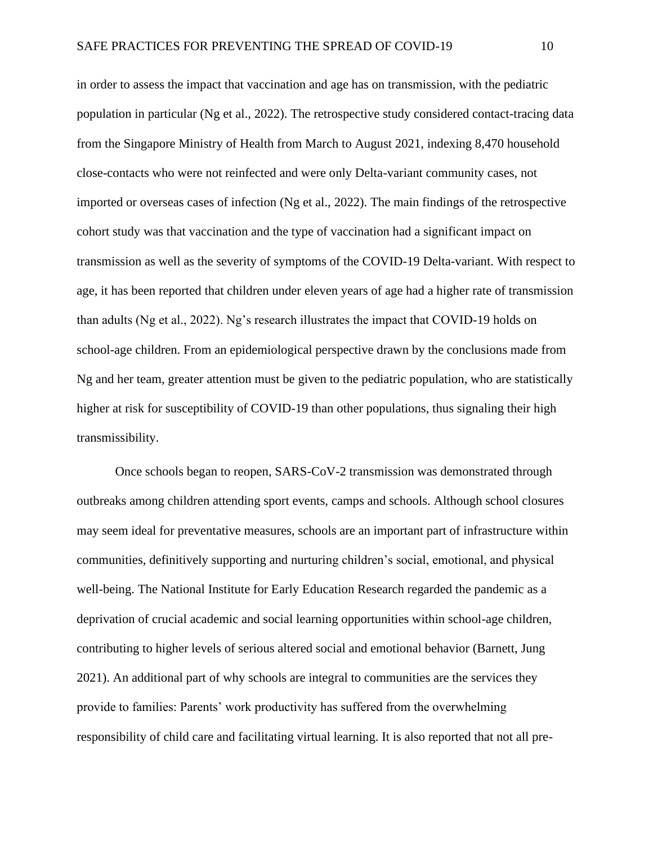in order to assess the impact that vaccination and age has on transmission, with the pediatric population in particular (Ng et al., 2022). The retrospective study considered contact-tracing data from the Singapore Ministry of Health from March to August 2021, indexing 8,470 household close-contacts who were not reinfected and were only Delta-variant community cases, not imported or overseas cases of infection (Ng et al., 2022). The main findings of the retrospective cohort study was that vaccination and the type of vaccination had a significant impact on transmission as well as the severity of symptoms of the COVID-19 Delta-variant. With respect to age, it has been reported that children under eleven years of age had a higher rate of transmission than adults (Ng et al., 2022). Ng's research illustrates the impact that COVID-19 holds on school-age children. From an epidemiological perspective drawn by the conclusions made from Ng and her team, greater attention must be given to the pediatric population, who are statistically higher at risk for susceptibility of COVID-19 than other populations, thus signaling their high transmissibility.

Once schools began to reopen, SARS-CoV-2 transmission was demonstrated through outbreaks among children attending sport events, camps and schools. Although school closures may seem ideal for preventative measures, schools are an important part of infrastructure within communities, definitively supporting and nurturing children's social, emotional, and physical well-being. The National Institute for Early Education Research regarded the pandemic as a deprivation of crucial academic and social learning opportunities within school-age children, contributing to higher levels of serious altered social and emotional behavior (Barnett, Jung 2021). An additional part of why schools are integral to communities are the services they provide to families: Parents' work productivity has suffered from the overwhelming responsibility of child care and facilitating virtual learning. It is also reported that not all pre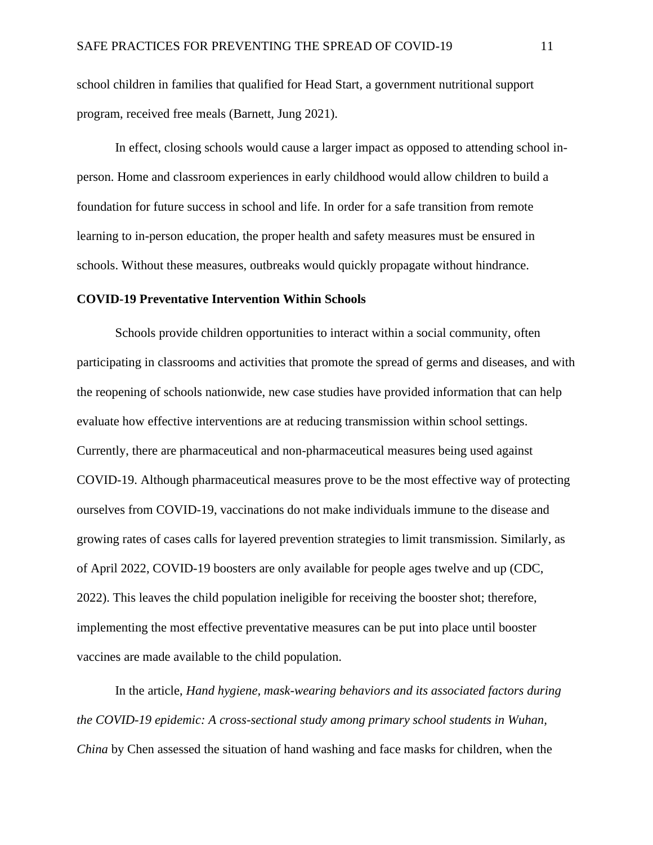school children in families that qualified for Head Start, a government nutritional support program, received free meals (Barnett, Jung 2021).

In effect, closing schools would cause a larger impact as opposed to attending school inperson. Home and classroom experiences in early childhood would allow children to build a foundation for future success in school and life. In order for a safe transition from remote learning to in-person education, the proper health and safety measures must be ensured in schools. Without these measures, outbreaks would quickly propagate without hindrance.

#### <span id="page-11-0"></span>**COVID-19 Preventative Intervention Within Schools**

Schools provide children opportunities to interact within a social community, often participating in classrooms and activities that promote the spread of germs and diseases, and with the reopening of schools nationwide, new case studies have provided information that can help evaluate how effective interventions are at reducing transmission within school settings. Currently, there are pharmaceutical and non-pharmaceutical measures being used against COVID-19. Although pharmaceutical measures prove to be the most effective way of protecting ourselves from COVID-19, vaccinations do not make individuals immune to the disease and growing rates of cases calls for layered prevention strategies to limit transmission. Similarly, as of April 2022, COVID-19 boosters are only available for people ages twelve and up (CDC, 2022). This leaves the child population ineligible for receiving the booster shot; therefore, implementing the most effective preventative measures can be put into place until booster vaccines are made available to the child population.

In the article, *Hand hygiene, mask-wearing behaviors and its associated factors during the COVID-19 epidemic: A cross-sectional study among primary school students in Wuhan, China* by Chen assessed the situation of hand washing and face masks for children, when the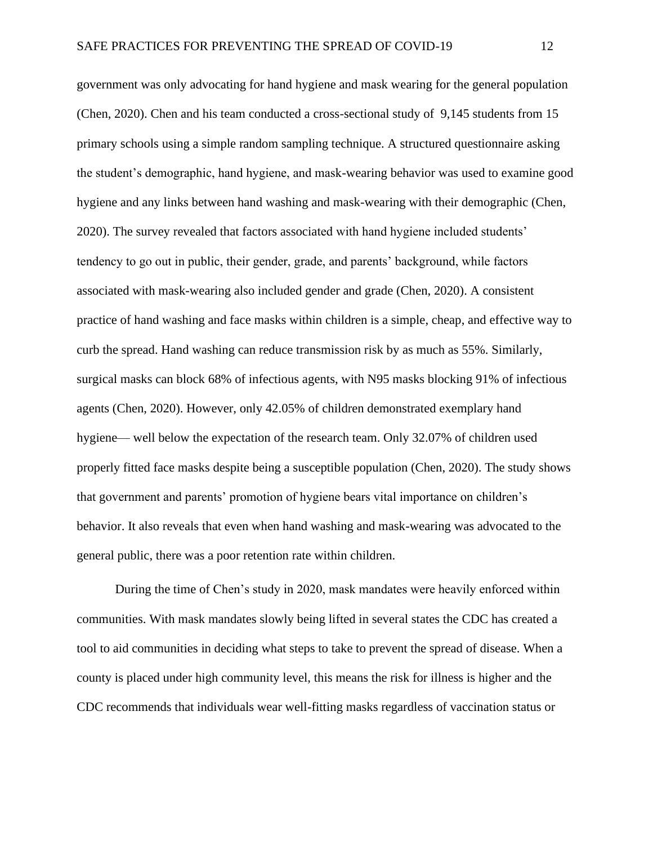government was only advocating for hand hygiene and mask wearing for the general population (Chen, 2020). Chen and his team conducted a cross-sectional study of 9,145 students from 15 primary schools using a simple random sampling technique. A structured questionnaire asking the student's demographic, hand hygiene, and mask-wearing behavior was used to examine good hygiene and any links between hand washing and mask-wearing with their demographic (Chen, 2020). The survey revealed that factors associated with hand hygiene included students' tendency to go out in public, their gender, grade, and parents' background, while factors associated with mask-wearing also included gender and grade (Chen, 2020). A consistent practice of hand washing and face masks within children is a simple, cheap, and effective way to curb the spread. Hand washing can reduce transmission risk by as much as 55%. Similarly, surgical masks can block 68% of infectious agents, with N95 masks blocking 91% of infectious agents (Chen, 2020). However, only 42.05% of children demonstrated exemplary hand hygiene— well below the expectation of the research team. Only 32.07% of children used properly fitted face masks despite being a susceptible population (Chen, 2020). The study shows that government and parents' promotion of hygiene bears vital importance on children's behavior. It also reveals that even when hand washing and mask-wearing was advocated to the general public, there was a poor retention rate within children.

During the time of Chen's study in 2020, mask mandates were heavily enforced within communities. With mask mandates slowly being lifted in several states the CDC has created a tool to aid communities in deciding what steps to take to prevent the spread of disease. When a county is placed under high community level, this means the risk for illness is higher and the CDC recommends that individuals wear well-fitting masks regardless of vaccination status or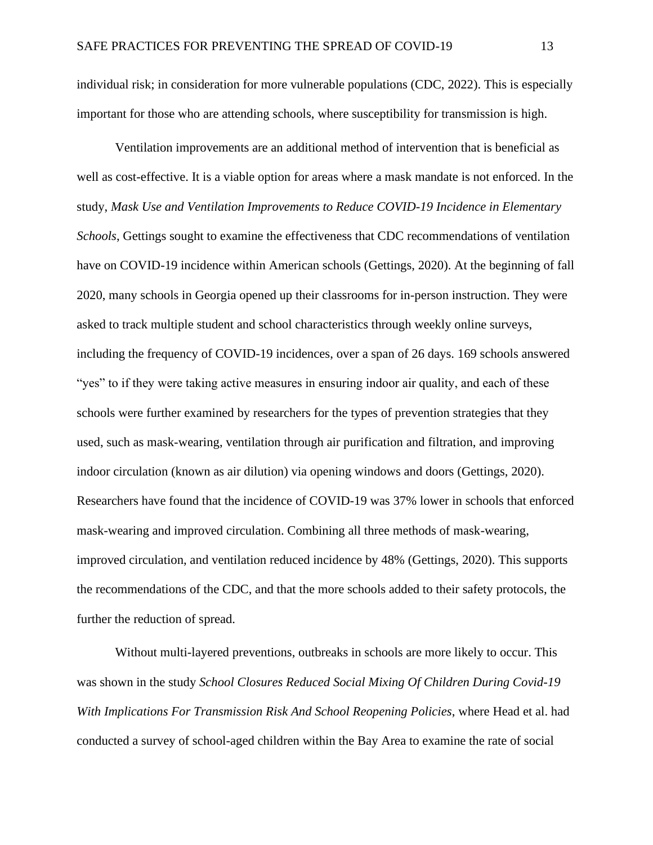individual risk; in consideration for more vulnerable populations (CDC, 2022). This is especially important for those who are attending schools, where susceptibility for transmission is high.

Ventilation improvements are an additional method of intervention that is beneficial as well as cost-effective. It is a viable option for areas where a mask mandate is not enforced. In the study, *Mask Use and Ventilation Improvements to Reduce COVID-19 Incidence in Elementary Schools*, Gettings sought to examine the effectiveness that CDC recommendations of ventilation have on COVID-19 incidence within American schools (Gettings, 2020). At the beginning of fall 2020, many schools in Georgia opened up their classrooms for in-person instruction. They were asked to track multiple student and school characteristics through weekly online surveys, including the frequency of COVID-19 incidences, over a span of 26 days. 169 schools answered "yes" to if they were taking active measures in ensuring indoor air quality, and each of these schools were further examined by researchers for the types of prevention strategies that they used, such as mask-wearing, ventilation through air purification and filtration, and improving indoor circulation (known as air dilution) via opening windows and doors (Gettings, 2020). Researchers have found that the incidence of COVID-19 was 37% lower in schools that enforced mask-wearing and improved circulation. Combining all three methods of mask-wearing, improved circulation, and ventilation reduced incidence by 48% (Gettings, 2020). This supports the recommendations of the CDC, and that the more schools added to their safety protocols, the further the reduction of spread.

Without multi-layered preventions, outbreaks in schools are more likely to occur. This was shown in the study *School Closures Reduced Social Mixing Of Children During Covid-19 With Implications For Transmission Risk And School Reopening Policies*, where Head et al. had conducted a survey of school-aged children within the Bay Area to examine the rate of social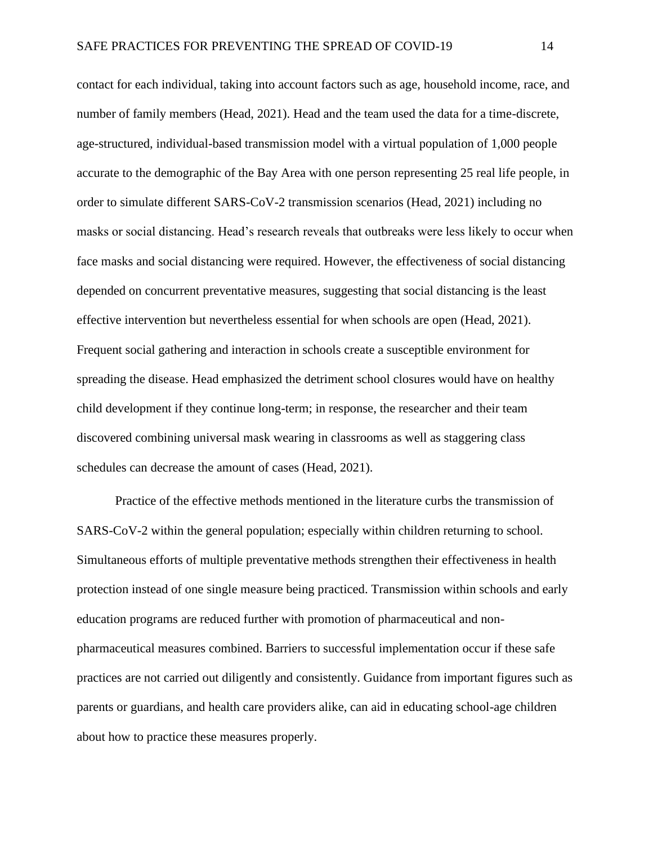contact for each individual, taking into account factors such as age, household income, race, and number of family members (Head, 2021). Head and the team used the data for a time-discrete, age-structured, individual-based transmission model with a virtual population of 1,000 people accurate to the demographic of the Bay Area with one person representing 25 real life people, in order to simulate different SARS-CoV-2 transmission scenarios (Head, 2021) including no masks or social distancing. Head's research reveals that outbreaks were less likely to occur when face masks and social distancing were required. However, the effectiveness of social distancing depended on concurrent preventative measures, suggesting that social distancing is the least effective intervention but nevertheless essential for when schools are open (Head, 2021). Frequent social gathering and interaction in schools create a susceptible environment for spreading the disease. Head emphasized the detriment school closures would have on healthy child development if they continue long-term; in response, the researcher and their team discovered combining universal mask wearing in classrooms as well as staggering class schedules can decrease the amount of cases (Head, 2021).

Practice of the effective methods mentioned in the literature curbs the transmission of SARS-CoV-2 within the general population; especially within children returning to school. Simultaneous efforts of multiple preventative methods strengthen their effectiveness in health protection instead of one single measure being practiced. Transmission within schools and early education programs are reduced further with promotion of pharmaceutical and nonpharmaceutical measures combined. Barriers to successful implementation occur if these safe practices are not carried out diligently and consistently. Guidance from important figures such as parents or guardians, and health care providers alike, can aid in educating school-age children about how to practice these measures properly.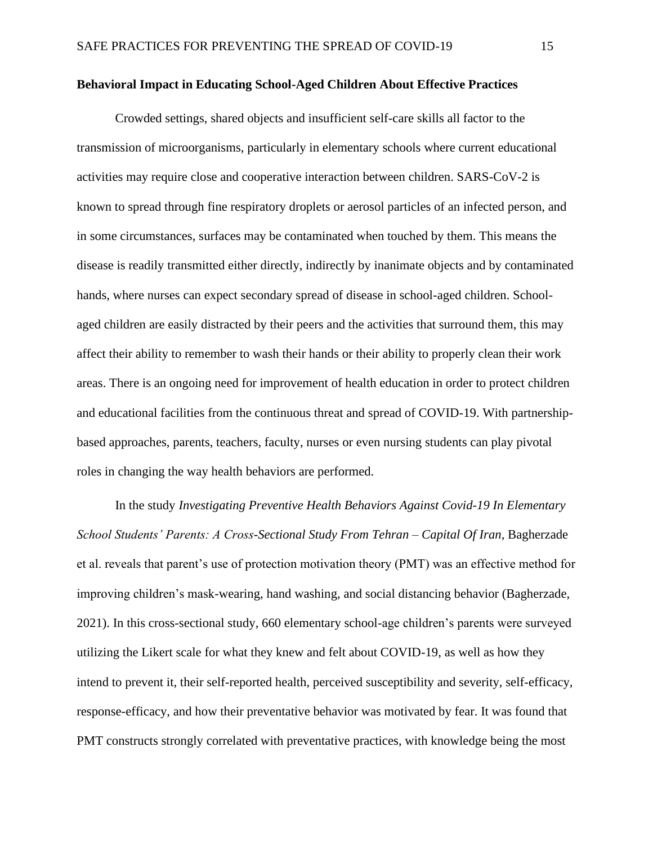#### <span id="page-15-0"></span>**Behavioral Impact in Educating School-Aged Children About Effective Practices**

Crowded settings, shared objects and insufficient self-care skills all factor to the transmission of microorganisms, particularly in elementary schools where current educational activities may require close and cooperative interaction between children. SARS-CoV-2 is known to spread through fine respiratory droplets or aerosol particles of an infected person, and in some circumstances, surfaces may be contaminated when touched by them. This means the disease is readily transmitted either directly, indirectly by inanimate objects and by contaminated hands, where nurses can expect secondary spread of disease in school-aged children. Schoolaged children are easily distracted by their peers and the activities that surround them, this may affect their ability to remember to wash their hands or their ability to properly clean their work areas. There is an ongoing need for improvement of health education in order to protect children and educational facilities from the continuous threat and spread of COVID-19. With partnershipbased approaches, parents, teachers, faculty, nurses or even nursing students can play pivotal roles in changing the way health behaviors are performed.

In the study *Investigating Preventive Health Behaviors Against Covid-19 In Elementary School Students' Parents: A Cross-Sectional Study From Tehran – Capital Of Iran,* Bagherzade et al. reveals that parent's use of protection motivation theory (PMT) was an effective method for improving children's mask-wearing, hand washing, and social distancing behavior (Bagherzade, 2021). In this cross-sectional study, 660 elementary school-age children's parents were surveyed utilizing the Likert scale for what they knew and felt about COVID-19, as well as how they intend to prevent it, their self-reported health, perceived susceptibility and severity, self-efficacy, response-efficacy, and how their preventative behavior was motivated by fear. It was found that PMT constructs strongly correlated with preventative practices, with knowledge being the most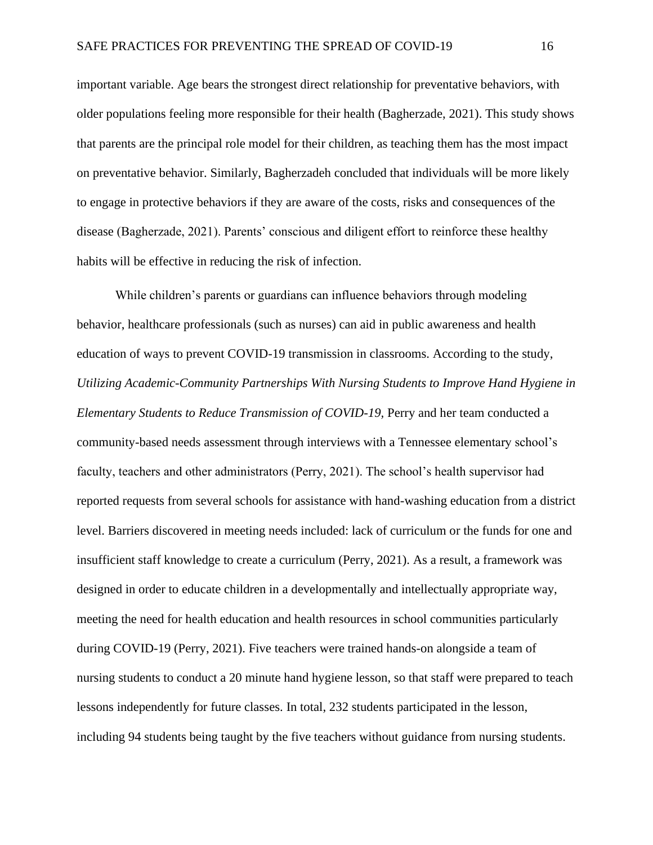important variable. Age bears the strongest direct relationship for preventative behaviors, with older populations feeling more responsible for their health (Bagherzade, 2021). This study shows that parents are the principal role model for their children, as teaching them has the most impact on preventative behavior. Similarly, Bagherzadeh concluded that individuals will be more likely to engage in protective behaviors if they are aware of the costs, risks and consequences of the disease (Bagherzade, 2021). Parents' conscious and diligent effort to reinforce these healthy habits will be effective in reducing the risk of infection.

While children's parents or guardians can influence behaviors through modeling behavior, healthcare professionals (such as nurses) can aid in public awareness and health education of ways to prevent COVID-19 transmission in classrooms. According to the study, *Utilizing Academic-Community Partnerships With Nursing Students to Improve Hand Hygiene in Elementary Students to Reduce Transmission of COVID-19*, Perry and her team conducted a community-based needs assessment through interviews with a Tennessee elementary school's faculty, teachers and other administrators (Perry, 2021). The school's health supervisor had reported requests from several schools for assistance with hand-washing education from a district level. Barriers discovered in meeting needs included: lack of curriculum or the funds for one and insufficient staff knowledge to create a curriculum (Perry, 2021). As a result, a framework was designed in order to educate children in a developmentally and intellectually appropriate way, meeting the need for health education and health resources in school communities particularly during COVID-19 (Perry, 2021). Five teachers were trained hands-on alongside a team of nursing students to conduct a 20 minute hand hygiene lesson, so that staff were prepared to teach lessons independently for future classes. In total, 232 students participated in the lesson, including 94 students being taught by the five teachers without guidance from nursing students.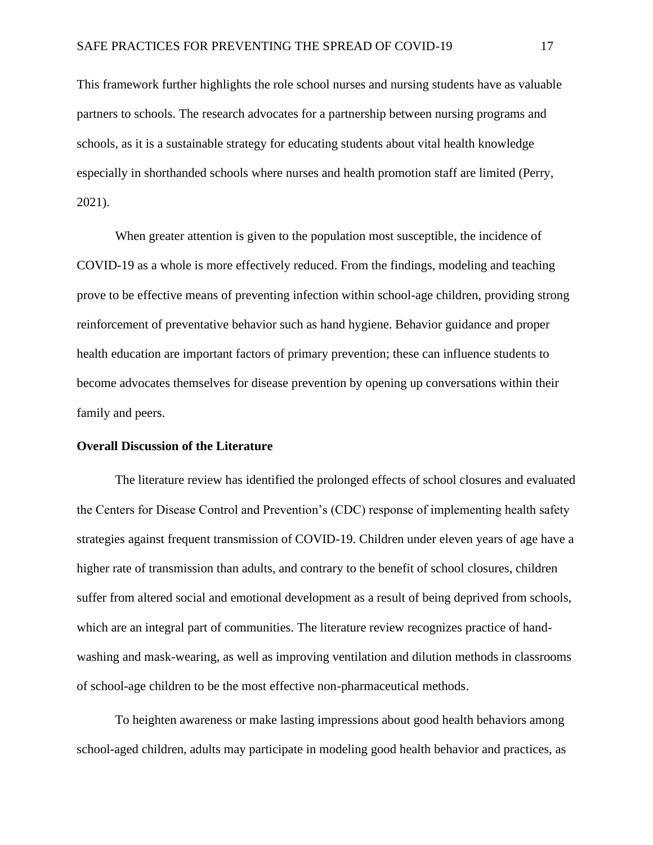This framework further highlights the role school nurses and nursing students have as valuable partners to schools. The research advocates for a partnership between nursing programs and schools, as it is a sustainable strategy for educating students about vital health knowledge especially in shorthanded schools where nurses and health promotion staff are limited (Perry, 2021).

When greater attention is given to the population most susceptible, the incidence of COVID-19 as a whole is more effectively reduced. From the findings, modeling and teaching prove to be effective means of preventing infection within school-age children, providing strong reinforcement of preventative behavior such as hand hygiene. Behavior guidance and proper health education are important factors of primary prevention; these can influence students to become advocates themselves for disease prevention by opening up conversations within their family and peers.

#### <span id="page-17-0"></span>**Overall Discussion of the Literature**

The literature review has identified the prolonged effects of school closures and evaluated the Centers for Disease Control and Prevention's (CDC) response of implementing health safety strategies against frequent transmission of COVID-19. Children under eleven years of age have a higher rate of transmission than adults, and contrary to the benefit of school closures, children suffer from altered social and emotional development as a result of being deprived from schools, which are an integral part of communities. The literature review recognizes practice of handwashing and mask-wearing, as well as improving ventilation and dilution methods in classrooms of school-age children to be the most effective non-pharmaceutical methods.

To heighten awareness or make lasting impressions about good health behaviors among school-aged children, adults may participate in modeling good health behavior and practices, as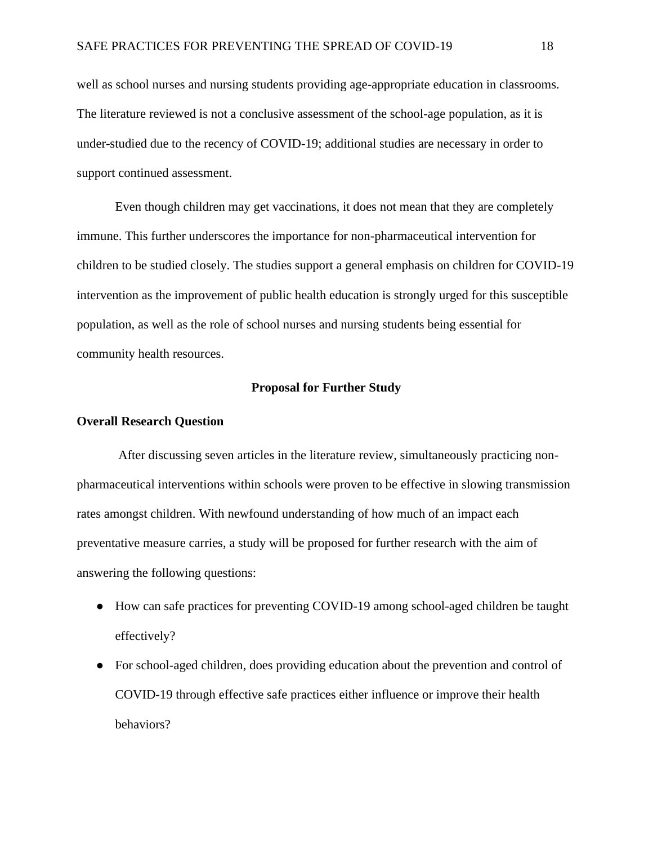well as school nurses and nursing students providing age-appropriate education in classrooms. The literature reviewed is not a conclusive assessment of the school-age population, as it is under-studied due to the recency of COVID-19; additional studies are necessary in order to support continued assessment.

Even though children may get vaccinations, it does not mean that they are completely immune. This further underscores the importance for non-pharmaceutical intervention for children to be studied closely. The studies support a general emphasis on children for COVID-19 intervention as the improvement of public health education is strongly urged for this susceptible population, as well as the role of school nurses and nursing students being essential for community health resources.

#### **Proposal for Further Study**

#### <span id="page-18-1"></span><span id="page-18-0"></span>**Overall Research Question**

After discussing seven articles in the literature review, simultaneously practicing nonpharmaceutical interventions within schools were proven to be effective in slowing transmission rates amongst children. With newfound understanding of how much of an impact each preventative measure carries, a study will be proposed for further research with the aim of answering the following questions:

- How can safe practices for preventing COVID-19 among school-aged children be taught effectively?
- For school-aged children, does providing education about the prevention and control of COVID-19 through effective safe practices either influence or improve their health behaviors?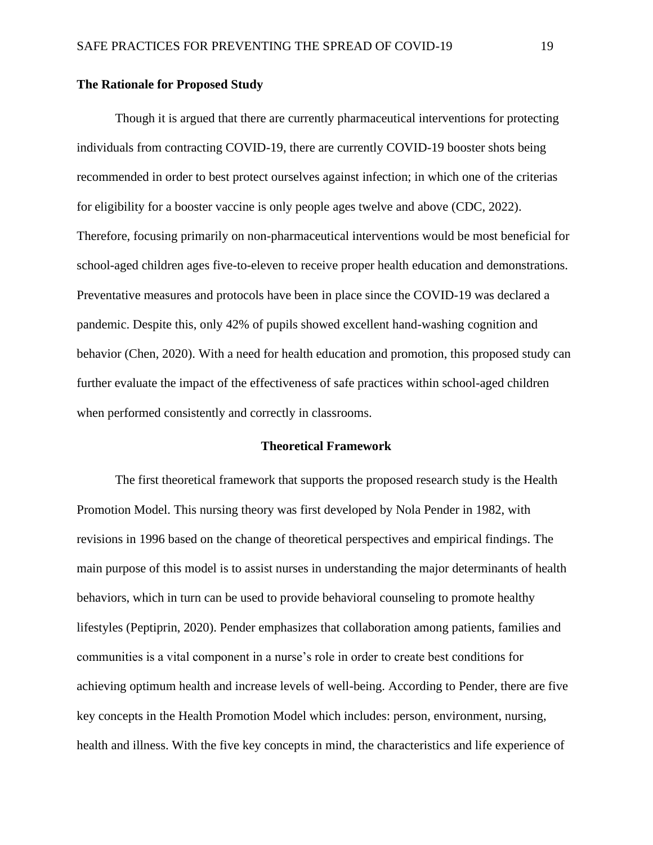#### <span id="page-19-0"></span>**The Rationale for Proposed Study**

Though it is argued that there are currently pharmaceutical interventions for protecting individuals from contracting COVID-19, there are currently COVID-19 booster shots being recommended in order to best protect ourselves against infection; in which one of the criterias for eligibility for a booster vaccine is only people ages twelve and above (CDC, 2022). Therefore, focusing primarily on non-pharmaceutical interventions would be most beneficial for school-aged children ages five-to-eleven to receive proper health education and demonstrations. Preventative measures and protocols have been in place since the COVID-19 was declared a pandemic. Despite this, only 42% of pupils showed excellent hand-washing cognition and behavior (Chen, 2020). With a need for health education and promotion, this proposed study can further evaluate the impact of the effectiveness of safe practices within school-aged children when performed consistently and correctly in classrooms.

### **Theoretical Framework**

<span id="page-19-1"></span>The first theoretical framework that supports the proposed research study is the Health Promotion Model. This nursing theory was first developed by Nola Pender in 1982, with revisions in 1996 based on the change of theoretical perspectives and empirical findings. The main purpose of this model is to assist nurses in understanding the major determinants of health behaviors, which in turn can be used to provide behavioral counseling to promote healthy lifestyles (Peptiprin, 2020). Pender emphasizes that collaboration among patients, families and communities is a vital component in a nurse's role in order to create best conditions for achieving optimum health and increase levels of well-being. According to Pender, there are five key concepts in the Health Promotion Model which includes: person, environment, nursing, health and illness. With the five key concepts in mind, the characteristics and life experience of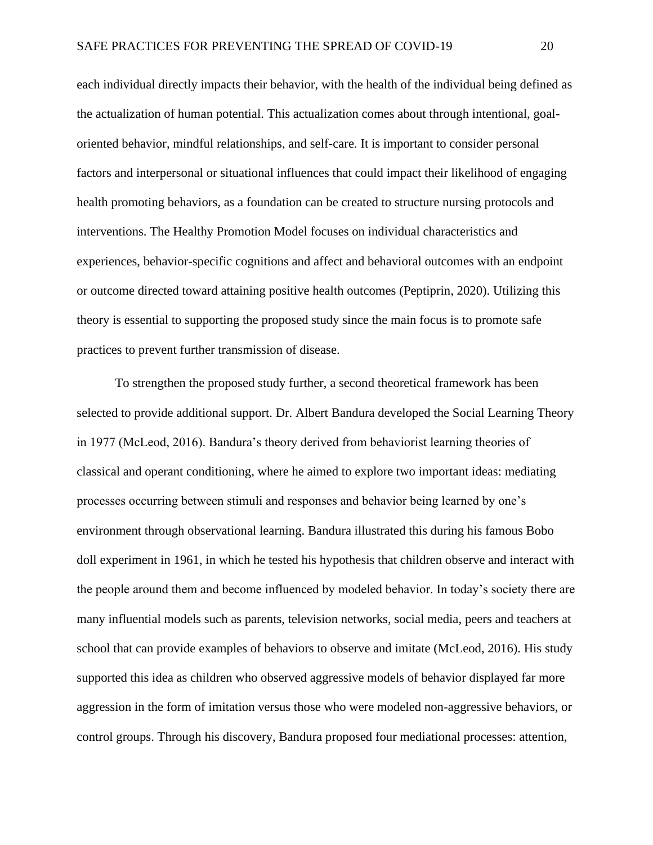each individual directly impacts their behavior, with the health of the individual being defined as the actualization of human potential. This actualization comes about through intentional, goaloriented behavior, mindful relationships, and self-care. It is important to consider personal factors and interpersonal or situational influences that could impact their likelihood of engaging health promoting behaviors, as a foundation can be created to structure nursing protocols and interventions. The Healthy Promotion Model focuses on individual characteristics and experiences, behavior-specific cognitions and affect and behavioral outcomes with an endpoint or outcome directed toward attaining positive health outcomes (Peptiprin, 2020). Utilizing this theory is essential to supporting the proposed study since the main focus is to promote safe practices to prevent further transmission of disease.

To strengthen the proposed study further, a second theoretical framework has been selected to provide additional support. Dr. Albert Bandura developed the Social Learning Theory in 1977 (McLeod, 2016). Bandura's theory derived from behaviorist learning theories of classical and operant conditioning, where he aimed to explore two important ideas: mediating processes occurring between stimuli and responses and behavior being learned by one's environment through observational learning. Bandura illustrated this during his famous Bobo doll experiment in 1961, in which he tested his hypothesis that children observe and interact with the people around them and become influenced by modeled behavior. In today's society there are many influential models such as parents, television networks, social media, peers and teachers at school that can provide examples of behaviors to observe and imitate (McLeod, 2016). His study supported this idea as children who observed aggressive models of behavior displayed far more aggression in the form of imitation versus those who were modeled non-aggressive behaviors, or control groups. Through his discovery, Bandura proposed four mediational processes: attention,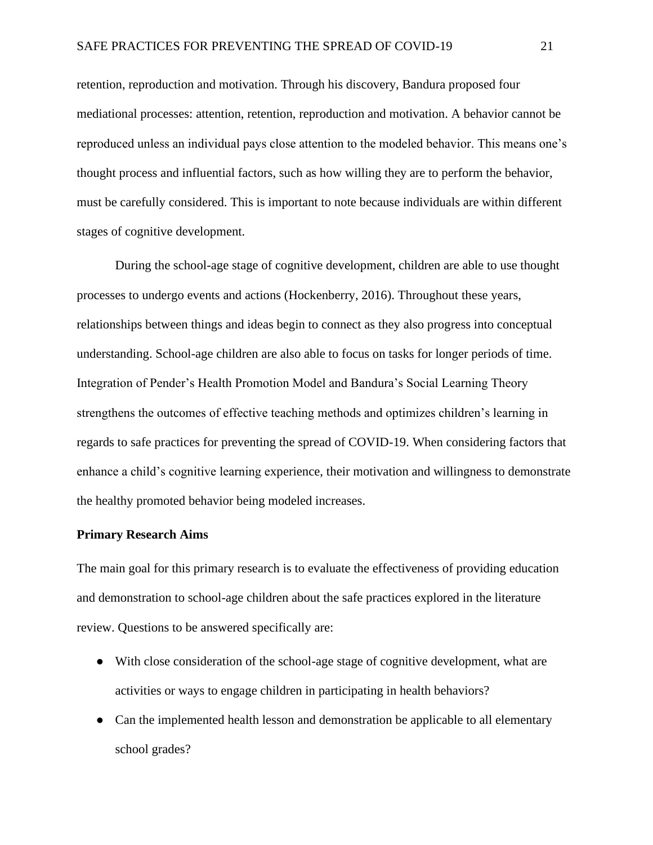retention, reproduction and motivation. Through his discovery, Bandura proposed four mediational processes: attention, retention, reproduction and motivation. A behavior cannot be reproduced unless an individual pays close attention to the modeled behavior. This means one's thought process and influential factors, such as how willing they are to perform the behavior, must be carefully considered. This is important to note because individuals are within different stages of cognitive development.

During the school-age stage of cognitive development, children are able to use thought processes to undergo events and actions (Hockenberry, 2016). Throughout these years, relationships between things and ideas begin to connect as they also progress into conceptual understanding. School-age children are also able to focus on tasks for longer periods of time. Integration of Pender's Health Promotion Model and Bandura's Social Learning Theory strengthens the outcomes of effective teaching methods and optimizes children's learning in regards to safe practices for preventing the spread of COVID-19. When considering factors that enhance a child's cognitive learning experience, their motivation and willingness to demonstrate the healthy promoted behavior being modeled increases.

#### <span id="page-21-0"></span>**Primary Research Aims**

The main goal for this primary research is to evaluate the effectiveness of providing education and demonstration to school-age children about the safe practices explored in the literature review. Questions to be answered specifically are:

- With close consideration of the school-age stage of cognitive development, what are activities or ways to engage children in participating in health behaviors?
- Can the implemented health lesson and demonstration be applicable to all elementary school grades?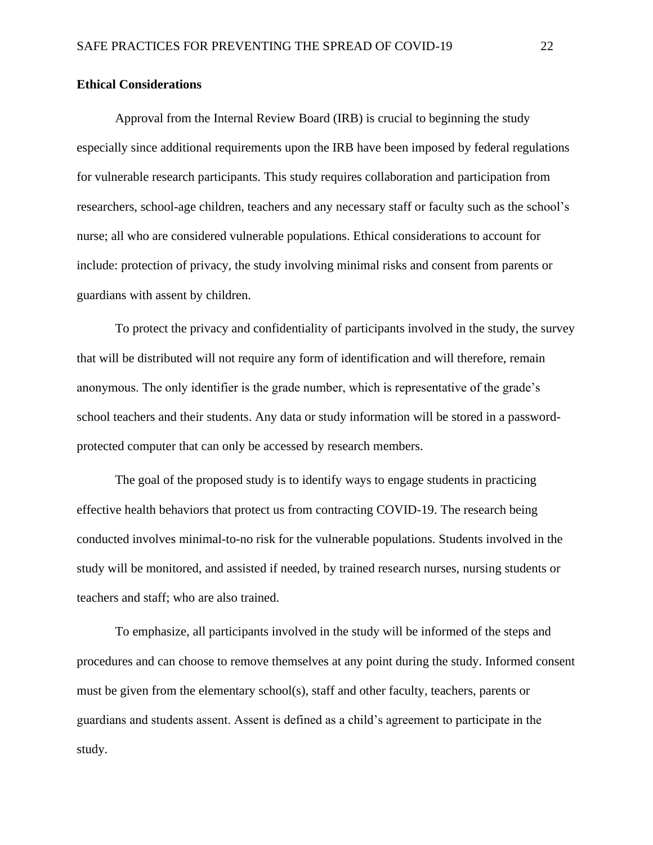#### <span id="page-22-0"></span>**Ethical Considerations**

Approval from the Internal Review Board (IRB) is crucial to beginning the study especially since additional requirements upon the IRB have been imposed by federal regulations for vulnerable research participants. This study requires collaboration and participation from researchers, school-age children, teachers and any necessary staff or faculty such as the school's nurse; all who are considered vulnerable populations. Ethical considerations to account for include: protection of privacy, the study involving minimal risks and consent from parents or guardians with assent by children.

To protect the privacy and confidentiality of participants involved in the study, the survey that will be distributed will not require any form of identification and will therefore, remain anonymous. The only identifier is the grade number, which is representative of the grade's school teachers and their students. Any data or study information will be stored in a passwordprotected computer that can only be accessed by research members.

The goal of the proposed study is to identify ways to engage students in practicing effective health behaviors that protect us from contracting COVID-19. The research being conducted involves minimal-to-no risk for the vulnerable populations. Students involved in the study will be monitored, and assisted if needed, by trained research nurses, nursing students or teachers and staff; who are also trained.

To emphasize, all participants involved in the study will be informed of the steps and procedures and can choose to remove themselves at any point during the study. Informed consent must be given from the elementary school(s), staff and other faculty, teachers, parents or guardians and students assent. Assent is defined as a child's agreement to participate in the study.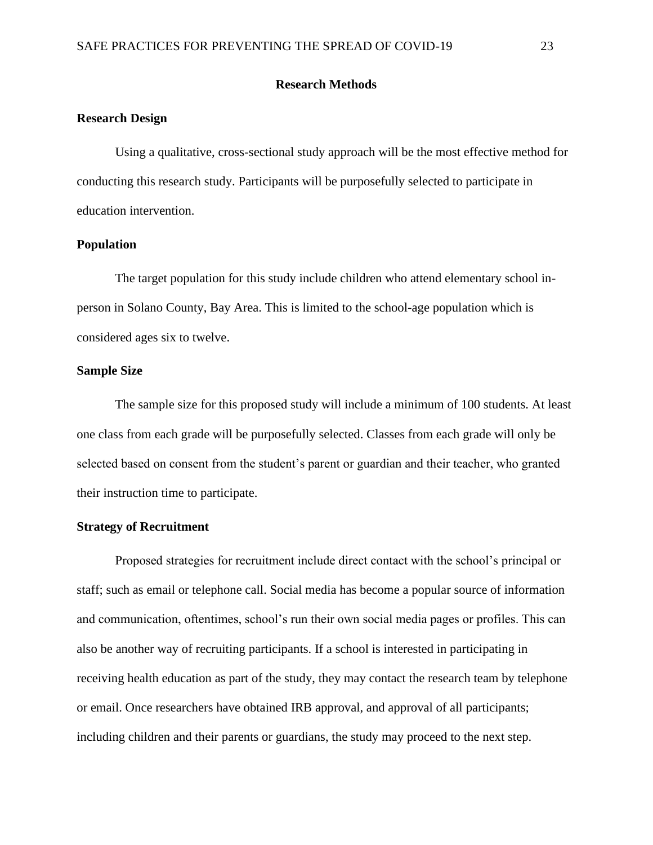#### **Research Methods**

#### <span id="page-23-1"></span><span id="page-23-0"></span>**Research Design**

Using a qualitative, cross-sectional study approach will be the most effective method for conducting this research study. Participants will be purposefully selected to participate in education intervention.

#### <span id="page-23-2"></span>**Population**

The target population for this study include children who attend elementary school inperson in Solano County, Bay Area. This is limited to the school-age population which is considered ages six to twelve.

#### <span id="page-23-3"></span>**Sample Size**

The sample size for this proposed study will include a minimum of 100 students. At least one class from each grade will be purposefully selected. Classes from each grade will only be selected based on consent from the student's parent or guardian and their teacher, who granted their instruction time to participate.

#### <span id="page-23-4"></span>**Strategy of Recruitment**

Proposed strategies for recruitment include direct contact with the school's principal or staff; such as email or telephone call. Social media has become a popular source of information and communication, oftentimes, school's run their own social media pages or profiles. This can also be another way of recruiting participants. If a school is interested in participating in receiving health education as part of the study, they may contact the research team by telephone or email. Once researchers have obtained IRB approval, and approval of all participants; including children and their parents or guardians, the study may proceed to the next step.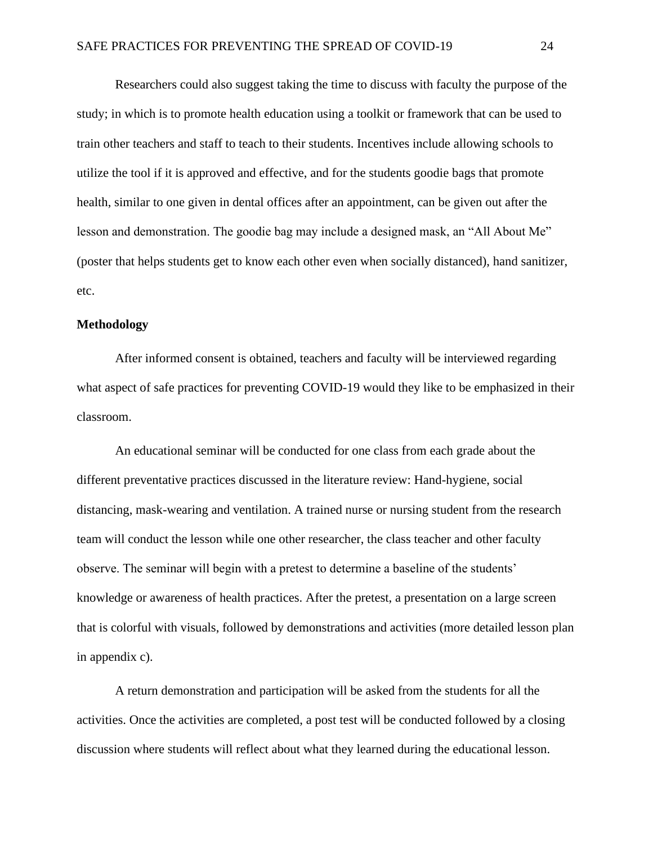Researchers could also suggest taking the time to discuss with faculty the purpose of the study; in which is to promote health education using a toolkit or framework that can be used to train other teachers and staff to teach to their students. Incentives include allowing schools to utilize the tool if it is approved and effective, and for the students goodie bags that promote health, similar to one given in dental offices after an appointment, can be given out after the lesson and demonstration. The goodie bag may include a designed mask, an "All About Me" (poster that helps students get to know each other even when socially distanced), hand sanitizer, etc.

#### <span id="page-24-0"></span>**Methodology**

After informed consent is obtained, teachers and faculty will be interviewed regarding what aspect of safe practices for preventing COVID-19 would they like to be emphasized in their classroom.

An educational seminar will be conducted for one class from each grade about the different preventative practices discussed in the literature review: Hand-hygiene, social distancing, mask-wearing and ventilation. A trained nurse or nursing student from the research team will conduct the lesson while one other researcher, the class teacher and other faculty observe. The seminar will begin with a pretest to determine a baseline of the students' knowledge or awareness of health practices. After the pretest, a presentation on a large screen that is colorful with visuals, followed by demonstrations and activities (more detailed lesson plan in appendix c).

A return demonstration and participation will be asked from the students for all the activities. Once the activities are completed, a post test will be conducted followed by a closing discussion where students will reflect about what they learned during the educational lesson.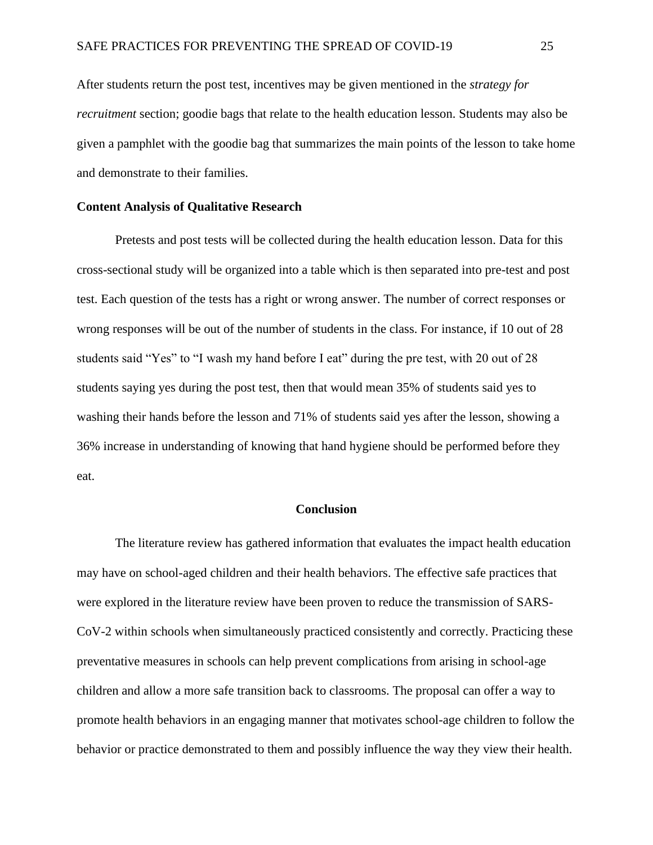After students return the post test, incentives may be given mentioned in the *strategy for recruitment* section; goodie bags that relate to the health education lesson. Students may also be given a pamphlet with the goodie bag that summarizes the main points of the lesson to take home and demonstrate to their families.

#### <span id="page-25-0"></span>**Content Analysis of Qualitative Research**

Pretests and post tests will be collected during the health education lesson. Data for this cross-sectional study will be organized into a table which is then separated into pre-test and post test. Each question of the tests has a right or wrong answer. The number of correct responses or wrong responses will be out of the number of students in the class. For instance, if 10 out of 28 students said "Yes" to "I wash my hand before I eat" during the pre test, with 20 out of 28 students saying yes during the post test, then that would mean 35% of students said yes to washing their hands before the lesson and 71% of students said yes after the lesson, showing a 36% increase in understanding of knowing that hand hygiene should be performed before they eat.

#### **Conclusion**

<span id="page-25-1"></span>The literature review has gathered information that evaluates the impact health education may have on school-aged children and their health behaviors. The effective safe practices that were explored in the literature review have been proven to reduce the transmission of SARS-CoV-2 within schools when simultaneously practiced consistently and correctly. Practicing these preventative measures in schools can help prevent complications from arising in school-age children and allow a more safe transition back to classrooms. The proposal can offer a way to promote health behaviors in an engaging manner that motivates school-age children to follow the behavior or practice demonstrated to them and possibly influence the way they view their health.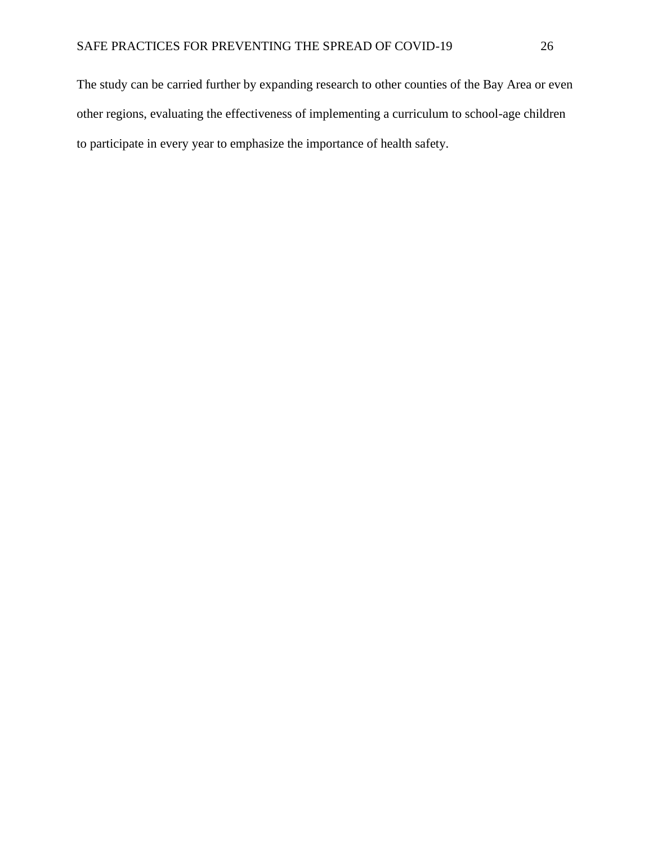The study can be carried further by expanding research to other counties of the Bay Area or even other regions, evaluating the effectiveness of implementing a curriculum to school-age children to participate in every year to emphasize the importance of health safety.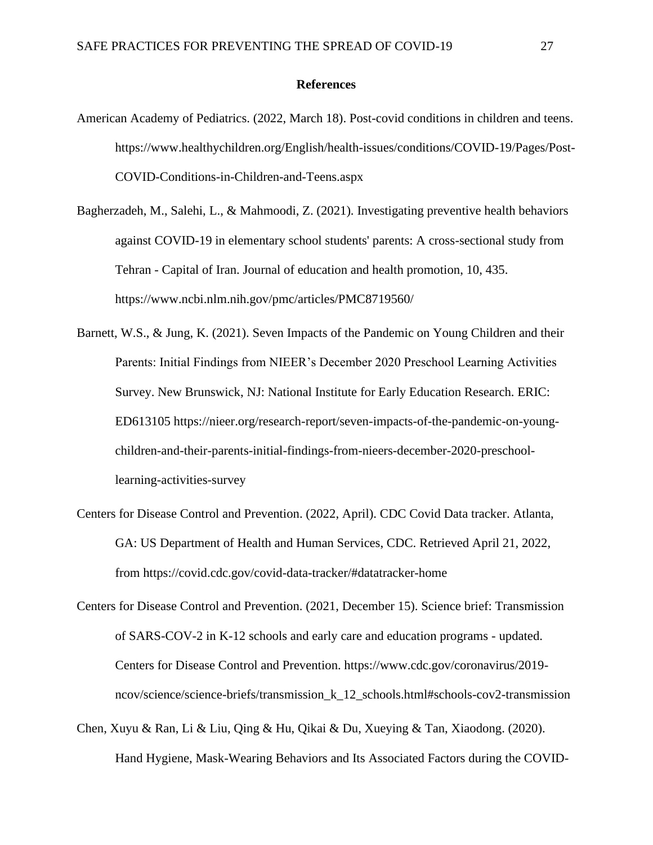#### **References**

- <span id="page-27-0"></span>American Academy of Pediatrics. (2022, March 18). Post-covid conditions in children and teens. https://www.healthychildren.org/English/health-issues/conditions/COVID-19/Pages/Post-COVID-Conditions-in-Children-and-Teens.aspx
- Bagherzadeh, M., Salehi, L., & Mahmoodi, Z. (2021). Investigating preventive health behaviors against COVID-19 in elementary school students' parents: A cross-sectional study from Tehran - Capital of Iran. Journal of education and health promotion, 10, 435. https://www.ncbi.nlm.nih.gov/pmc/articles/PMC8719560/
- Barnett, W.S., & Jung, K. (2021). Seven Impacts of the Pandemic on Young Children and their Parents: Initial Findings from NIEER's December 2020 Preschool Learning Activities Survey. New Brunswick, NJ: National Institute for Early Education Research. ERIC: ED613105 https://nieer.org/research-report/seven-impacts-of-the-pandemic-on-youngchildren-and-their-parents-initial-findings-from-nieers-december-2020-preschoollearning-activities-survey
- Centers for Disease Control and Prevention. (2022, April). CDC Covid Data tracker. Atlanta, GA: US Department of Health and Human Services, CDC. Retrieved April 21, 2022, from https://covid.cdc.gov/covid-data-tracker/#datatracker-home
- Centers for Disease Control and Prevention. (2021, December 15). Science brief: Transmission of SARS-COV-2 in K-12 schools and early care and education programs - updated. Centers for Disease Control and Prevention. https://www.cdc.gov/coronavirus/2019 ncov/science/science-briefs/transmission\_k\_12\_schools.html#schools-cov2-transmission
- Chen, Xuyu & Ran, Li & Liu, Qing & Hu, Qikai & Du, Xueying & Tan, Xiaodong. (2020). Hand Hygiene, Mask-Wearing Behaviors and Its Associated Factors during the COVID-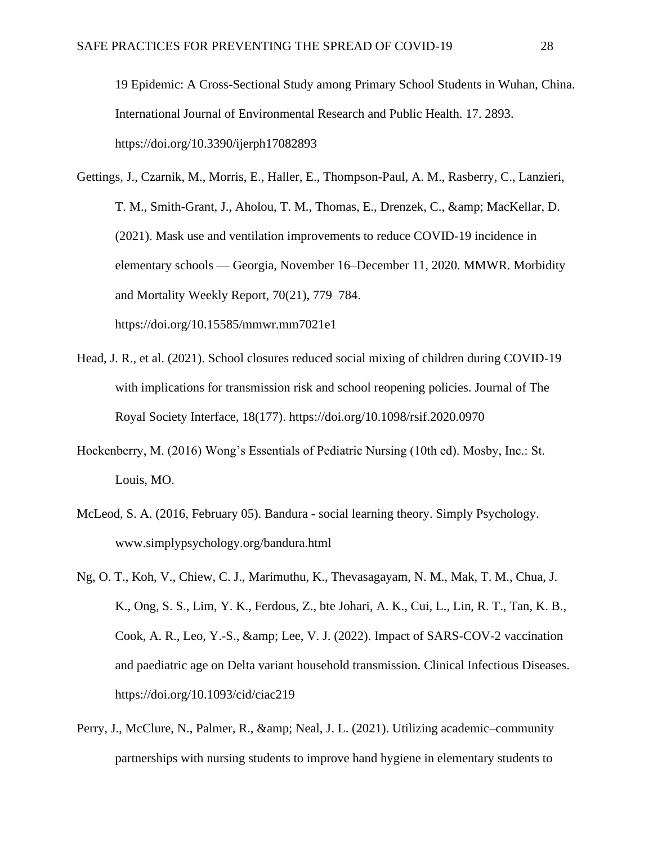19 Epidemic: A Cross-Sectional Study among Primary School Students in Wuhan, China. International Journal of Environmental Research and Public Health. 17. 2893. https://doi.org/10.3390/ijerph17082893

- Gettings, J., Czarnik, M., Morris, E., Haller, E., Thompson-Paul, A. M., Rasberry, C., Lanzieri, T. M., Smith-Grant, J., Aholou, T. M., Thomas, E., Drenzek, C., & amp; MacKellar, D. (2021). Mask use and ventilation improvements to reduce COVID-19 incidence in elementary schools — Georgia, November 16–December 11, 2020. MMWR. Morbidity and Mortality Weekly Report, 70(21), 779–784. https://doi.org/10.15585/mmwr.mm7021e1
- Head, J. R., et al. (2021). School closures reduced social mixing of children during COVID-19 with implications for transmission risk and school reopening policies. Journal of The Royal Society Interface, 18(177). https://doi.org/10.1098/rsif.2020.0970
- Hockenberry, M. (2016) Wong's Essentials of Pediatric Nursing (10th ed). Mosby, Inc.: St. Louis, MO.
- McLeod, S. A. (2016, February 05). Bandura social learning theory. Simply Psychology. www.simplypsychology.org/bandura.html
- Ng, O. T., Koh, V., Chiew, C. J., Marimuthu, K., Thevasagayam, N. M., Mak, T. M., Chua, J. K., Ong, S. S., Lim, Y. K., Ferdous, Z., bte Johari, A. K., Cui, L., Lin, R. T., Tan, K. B., Cook, A. R., Leo, Y.-S.,  $\&$ amp; Lee, V. J. (2022). Impact of SARS-COV-2 vaccination and paediatric age on Delta variant household transmission. Clinical Infectious Diseases. https://doi.org/10.1093/cid/ciac219
- Perry, J., McClure, N., Palmer, R., & amp; Neal, J. L. (2021). Utilizing academic–community partnerships with nursing students to improve hand hygiene in elementary students to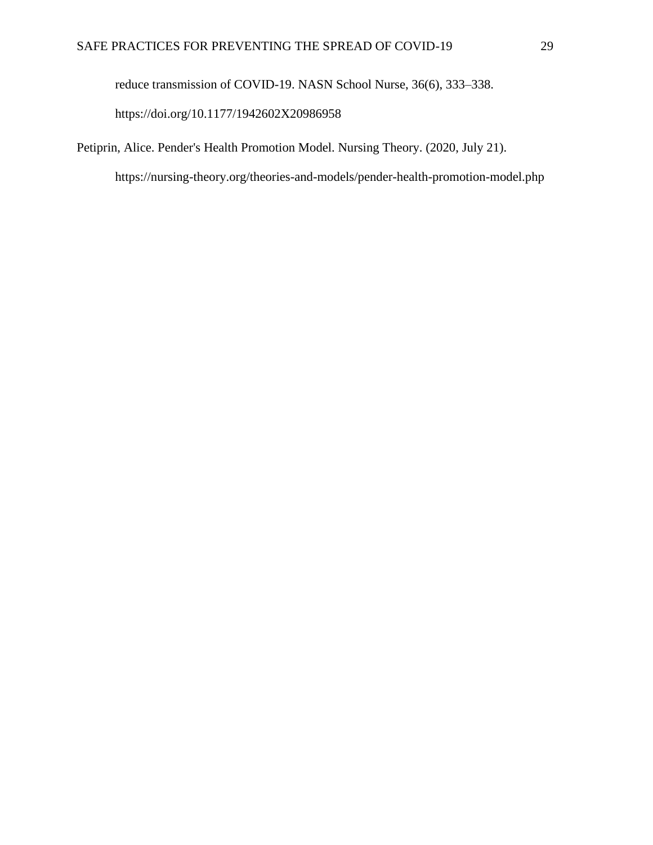reduce transmission of COVID-19. NASN School Nurse, 36(6), 333–338.

https://doi.org/10.1177/1942602X20986958

Petiprin, Alice. Pender's Health Promotion Model. Nursing Theory. (2020, July 21).

https://nursing-theory.org/theories-and-models/pender-health-promotion-model.php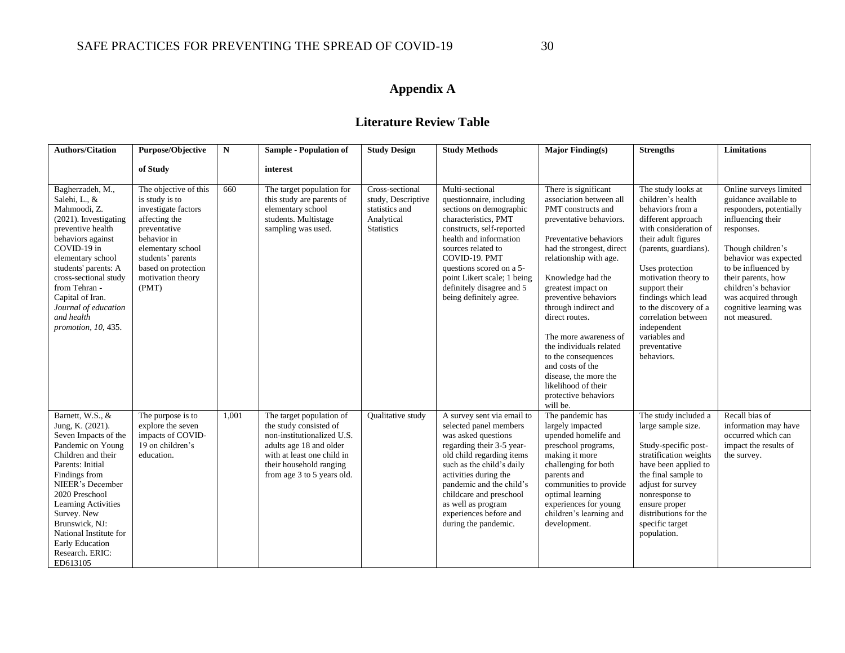# **Appendix A**

# **Literature Review Table**

<span id="page-30-0"></span>

| <b>Authors/Citation</b>                                                                                                                                                                                                                                                                                                | Purpose/Objective                                                                                                                                                                                             | N     | <b>Sample - Population of</b>                                                                                                                                                                      | <b>Study Design</b>                                                                        | <b>Study Methods</b>                                                                                                                                                                                                                                                                                                       | <b>Major Finding(s)</b>                                                                                                                                                                                                                                                                                                                                                                                                                                                           | <b>Strengths</b>                                                                                                                                                                                                                                                                                                                                            | <b>Limitations</b>                                                                                                                                                                                                                                                                                 |
|------------------------------------------------------------------------------------------------------------------------------------------------------------------------------------------------------------------------------------------------------------------------------------------------------------------------|---------------------------------------------------------------------------------------------------------------------------------------------------------------------------------------------------------------|-------|----------------------------------------------------------------------------------------------------------------------------------------------------------------------------------------------------|--------------------------------------------------------------------------------------------|----------------------------------------------------------------------------------------------------------------------------------------------------------------------------------------------------------------------------------------------------------------------------------------------------------------------------|-----------------------------------------------------------------------------------------------------------------------------------------------------------------------------------------------------------------------------------------------------------------------------------------------------------------------------------------------------------------------------------------------------------------------------------------------------------------------------------|-------------------------------------------------------------------------------------------------------------------------------------------------------------------------------------------------------------------------------------------------------------------------------------------------------------------------------------------------------------|----------------------------------------------------------------------------------------------------------------------------------------------------------------------------------------------------------------------------------------------------------------------------------------------------|
|                                                                                                                                                                                                                                                                                                                        | of Study                                                                                                                                                                                                      |       | interest                                                                                                                                                                                           |                                                                                            |                                                                                                                                                                                                                                                                                                                            |                                                                                                                                                                                                                                                                                                                                                                                                                                                                                   |                                                                                                                                                                                                                                                                                                                                                             |                                                                                                                                                                                                                                                                                                    |
| Bagherzadeh, M.,<br>Salehi, L., &<br>Mahmoodi, Z.<br>$(2021)$ . Investigating<br>preventive health<br>behaviors against<br>COVID-19 in<br>elementary school<br>students' parents: A<br>cross-sectional study<br>from Tehran -<br>Capital of Iran.<br>Journal of education<br>and health<br>promotion, 10, 435.         | The objective of this<br>is study is to<br>investigate factors<br>affecting the<br>preventative<br>behavior in<br>elementary school<br>students' parents<br>based on protection<br>motivation theory<br>(PMT) | 660   | The target population for<br>this study are parents of<br>elementary school<br>students. Multistage<br>sampling was used.                                                                          | Cross-sectional<br>study, Descriptive<br>statistics and<br>Analytical<br><b>Statistics</b> | Multi-sectional<br>questionnaire, including<br>sections on demographic<br>characteristics, PMT<br>constructs, self-reported<br>health and information<br>sources related to<br>COVID-19. PMT<br>questions scored on a 5-<br>point Likert scale; 1 being<br>definitely disagree and 5<br>being definitely agree.            | There is significant<br>association between all<br>PMT constructs and<br>preventative behaviors.<br>Preventative behaviors<br>had the strongest, direct<br>relationship with age.<br>Knowledge had the<br>greatest impact on<br>preventive behaviors<br>through indirect and<br>direct routes.<br>The more awareness of<br>the individuals related<br>to the consequences<br>and costs of the<br>disease, the more the<br>likelihood of their<br>protective behaviors<br>will be. | The study looks at<br>children's health<br>behaviors from a<br>different approach<br>with consideration of<br>their adult figures<br>(parents, guardians).<br>Uses protection<br>motivation theory to<br>support their<br>findings which lead<br>to the discovery of a<br>correlation between<br>independent<br>variables and<br>preventative<br>behaviors. | Online surveys limited<br>guidance available to<br>responders, potentially<br>influencing their<br>responses.<br>Though children's<br>behavior was expected<br>to be influenced by<br>their parents, how<br>children's behavior<br>was acquired through<br>cognitive learning was<br>not measured. |
| Barnett, W.S., &<br>Jung, K. (2021).<br>Seven Impacts of the<br>Pandemic on Young<br>Children and their<br>Parents: Initial<br>Findings from<br>NIEER's December<br>2020 Preschool<br>Learning Activities<br>Survey. New<br>Brunswick, NJ:<br>National Institute for<br>Early Education<br>Research. ERIC:<br>ED613105 | The purpose is to<br>explore the seven<br>impacts of COVID-<br>19 on children's<br>education.                                                                                                                 | 1,001 | The target population of<br>the study consisted of<br>non-institutionalized U.S.<br>adults age 18 and older<br>with at least one child in<br>their household ranging<br>from age 3 to 5 years old. | Qualitative study                                                                          | A survey sent via email to<br>selected panel members<br>was asked questions<br>regarding their 3-5 year-<br>old child regarding items<br>such as the child's daily<br>activities during the<br>pandemic and the child's<br>childcare and preschool<br>as well as program<br>experiences before and<br>during the pandemic. | The pandemic has<br>largely impacted<br>upended homelife and<br>preschool programs,<br>making it more<br>challenging for both<br>parents and<br>communities to provide<br>optimal learning<br>experiences for young<br>children's learning and<br>development.                                                                                                                                                                                                                    | The study included a<br>large sample size.<br>Study-specific post-<br>stratification weights<br>have been applied to<br>the final sample to<br>adjust for survey<br>nonresponse to<br>ensure proper<br>distributions for the<br>specific target<br>population.                                                                                              | Recall bias of<br>information may have<br>occurred which can<br>impact the results of<br>the survey.                                                                                                                                                                                               |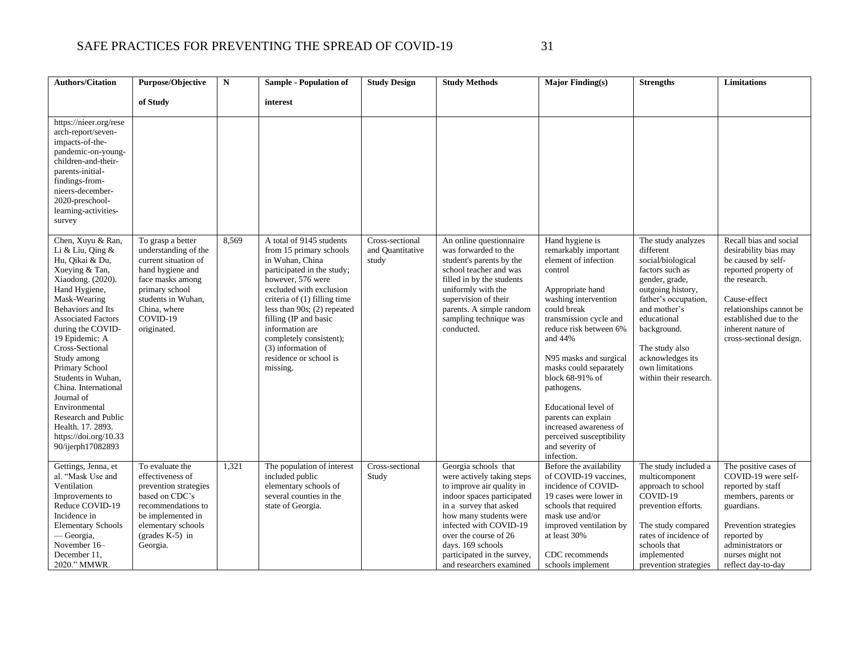| <b>Authors/Citation</b>                                                                                                                                                                                                                                                                                                                                                                                                                              | Purpose/Objective                                                                                                                                                                            | $\mathbf N$ | <b>Sample - Population of</b>                                                                                                                                                                                                                                                                                                                               | <b>Study Design</b>                          | <b>Study Methods</b>                                                                                                                                                                                                                                                                                 | Major Finding $(s)$                                                                                                                                                                                                                                                                                                                                                                                                             | <b>Strengths</b>                                                                                                                                                                                                                                                        | Limitations                                                                                                                                                                                                                          |
|------------------------------------------------------------------------------------------------------------------------------------------------------------------------------------------------------------------------------------------------------------------------------------------------------------------------------------------------------------------------------------------------------------------------------------------------------|----------------------------------------------------------------------------------------------------------------------------------------------------------------------------------------------|-------------|-------------------------------------------------------------------------------------------------------------------------------------------------------------------------------------------------------------------------------------------------------------------------------------------------------------------------------------------------------------|----------------------------------------------|------------------------------------------------------------------------------------------------------------------------------------------------------------------------------------------------------------------------------------------------------------------------------------------------------|---------------------------------------------------------------------------------------------------------------------------------------------------------------------------------------------------------------------------------------------------------------------------------------------------------------------------------------------------------------------------------------------------------------------------------|-------------------------------------------------------------------------------------------------------------------------------------------------------------------------------------------------------------------------------------------------------------------------|--------------------------------------------------------------------------------------------------------------------------------------------------------------------------------------------------------------------------------------|
|                                                                                                                                                                                                                                                                                                                                                                                                                                                      | of Study                                                                                                                                                                                     |             | interest                                                                                                                                                                                                                                                                                                                                                    |                                              |                                                                                                                                                                                                                                                                                                      |                                                                                                                                                                                                                                                                                                                                                                                                                                 |                                                                                                                                                                                                                                                                         |                                                                                                                                                                                                                                      |
| https://nieer.org/rese<br>arch-report/seven-<br>impacts-of-the-<br>pandemic-on-young-<br>children-and-their-<br>parents-initial-<br>findings-from-<br>nieers-december-<br>2020-preschool-<br>learning-activities-<br>survey                                                                                                                                                                                                                          |                                                                                                                                                                                              |             |                                                                                                                                                                                                                                                                                                                                                             |                                              |                                                                                                                                                                                                                                                                                                      |                                                                                                                                                                                                                                                                                                                                                                                                                                 |                                                                                                                                                                                                                                                                         |                                                                                                                                                                                                                                      |
| Chen, Xuyu & Ran,<br>Li & Liu, Qing &<br>Hu, Qikai & Du,<br>Xueying & Tan,<br>Xiaodong. (2020).<br>Hand Hygiene,<br>Mask-Wearing<br>Behaviors and Its<br><b>Associated Factors</b><br>during the COVID-<br>19 Epidemic: A<br>Cross-Sectional<br>Study among<br>Primary School<br>Students in Wuhan,<br>China. International<br>Journal of<br>Environmental<br>Research and Public<br>Health. 17. 2893.<br>https://doi.org/10.33<br>90/ijerph17082893 | To grasp a better<br>understanding of the<br>current situation of<br>hand hygiene and<br>face masks among<br>primary school<br>students in Wuhan,<br>China, where<br>COVID-19<br>originated. | 8,569       | A total of 9145 students<br>from 15 primary schools<br>in Wuhan, China<br>participated in the study;<br>however, 576 were<br>excluded with exclusion<br>criteria of (1) filling time<br>less than $90s$ ; $(2)$ repeated<br>filling (IP and basic<br>information are<br>completely consistent);<br>(3) information of<br>residence or school is<br>missing. | Cross-sectional<br>and Quantitative<br>study | An online questionnaire<br>was forwarded to the<br>student's parents by the<br>school teacher and was<br>filled in by the students<br>uniformly with the<br>supervision of their<br>parents. A simple random<br>sampling technique was<br>conducted.                                                 | Hand hygiene is<br>remarkably important<br>element of infection<br>control<br>Appropriate hand<br>washing intervention<br>could break<br>transmission cycle and<br>reduce risk between 6%<br>and 44%<br>N95 masks and surgical<br>masks could separately<br>block 68-91% of<br>pathogens.<br>Educational level of<br>parents can explain<br>increased awareness of<br>perceived susceptibility<br>and severity of<br>infection. | The study analyzes<br>different<br>social/biological<br>factors such as<br>gender, grade,<br>outgoing history,<br>father's occupation,<br>and mother's<br>educational<br>background.<br>The study also<br>acknowledges its<br>own limitations<br>within their research. | Recall bias and social<br>desirability bias may<br>be caused by self-<br>reported property of<br>the research.<br>Cause-effect<br>relationships cannot be<br>established due to the<br>inherent nature of<br>cross-sectional design. |
| Gettings, Jenna, et<br>al. "Mask Use and<br>Ventilation<br>Improvements to<br>Reduce COVID-19<br>Incidence in<br><b>Elementary Schools</b><br>— Georgia,<br>November 16-<br>December 11,<br>2020." MMWR.                                                                                                                                                                                                                                             | To evaluate the<br>effectiveness of<br>prevention strategies<br>based on CDC's<br>recommendations to<br>be implemented in<br>elementary schools<br>(grades $K-5$ ) in<br>Georgia.            | 1,321       | The population of interest<br>included public<br>elementary schools of<br>several counties in the<br>state of Georgia.                                                                                                                                                                                                                                      | Cross-sectional<br>Study                     | Georgia schools that<br>were actively taking steps<br>to improve air quality in<br>indoor spaces participated<br>in a survey that asked<br>how many students were<br>infected with COVID-19<br>over the course of 26<br>days. 169 schools<br>participated in the survey,<br>and researchers examined | Before the availability<br>of COVID-19 vaccines,<br>incidence of COVID-<br>19 cases were lower in<br>schools that required<br>mask use and/or<br>improved ventilation by<br>at least 30%<br>CDC recommends<br>schools implement                                                                                                                                                                                                 | The study included a<br>multicomponent<br>approach to school<br>COVID-19<br>prevention efforts.<br>The study compared<br>rates of incidence of<br>schools that<br>implemented<br>prevention strategies                                                                  | The positive cases of<br>COVID-19 were self-<br>reported by staff<br>members, parents or<br>guardians.<br>Prevention strategies<br>reported by<br>administrators or<br>nurses might not<br>reflect day-to-day                        |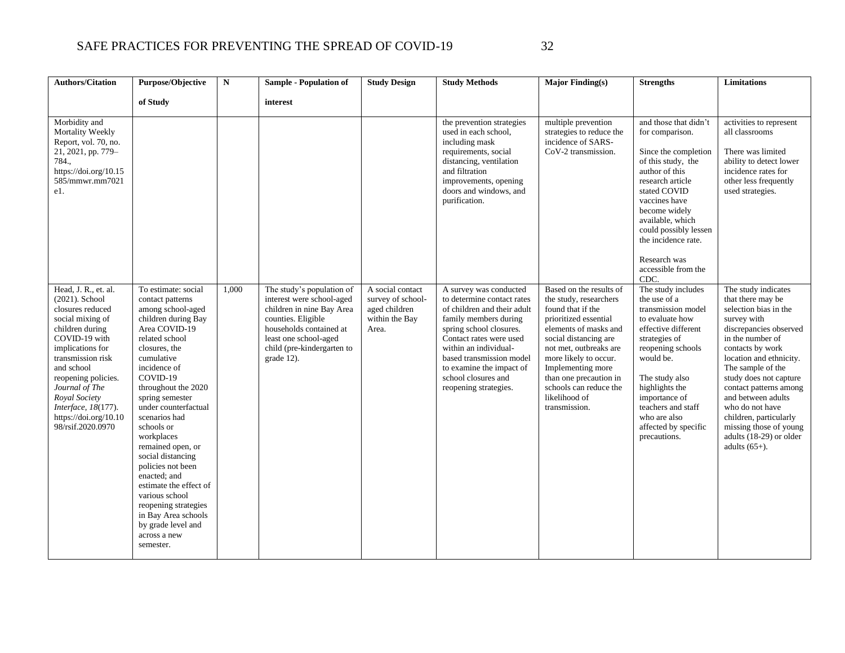| <b>Authors/Citation</b>                                                                                                                                                                                                                                                                                  | Purpose/Objective                                                                                                                                                                                                                                                                                                                                                                                                                                                                                                             | $\mathbf N$ | <b>Sample - Population of</b>                                                                                                                                                                             | <b>Study Design</b>                                                               | <b>Study Methods</b>                                                                                                                                                                                                                                                                                | <b>Major Finding(s)</b>                                                                                                                                                                                                                                                                                         | <b>Strengths</b>                                                                                                                                                                                                                                                                                  | Limitations                                                                                                                                                                                                                                                                                                                                                                                        |
|----------------------------------------------------------------------------------------------------------------------------------------------------------------------------------------------------------------------------------------------------------------------------------------------------------|-------------------------------------------------------------------------------------------------------------------------------------------------------------------------------------------------------------------------------------------------------------------------------------------------------------------------------------------------------------------------------------------------------------------------------------------------------------------------------------------------------------------------------|-------------|-----------------------------------------------------------------------------------------------------------------------------------------------------------------------------------------------------------|-----------------------------------------------------------------------------------|-----------------------------------------------------------------------------------------------------------------------------------------------------------------------------------------------------------------------------------------------------------------------------------------------------|-----------------------------------------------------------------------------------------------------------------------------------------------------------------------------------------------------------------------------------------------------------------------------------------------------------------|---------------------------------------------------------------------------------------------------------------------------------------------------------------------------------------------------------------------------------------------------------------------------------------------------|----------------------------------------------------------------------------------------------------------------------------------------------------------------------------------------------------------------------------------------------------------------------------------------------------------------------------------------------------------------------------------------------------|
|                                                                                                                                                                                                                                                                                                          | of Study                                                                                                                                                                                                                                                                                                                                                                                                                                                                                                                      |             | interest                                                                                                                                                                                                  |                                                                                   |                                                                                                                                                                                                                                                                                                     |                                                                                                                                                                                                                                                                                                                 |                                                                                                                                                                                                                                                                                                   |                                                                                                                                                                                                                                                                                                                                                                                                    |
| Morbidity and<br>Mortality Weekly<br>Report, vol. 70, no.<br>21, 2021, pp. 779-<br>784.,<br>https://doi.org/10.15<br>585/mmwr.mm7021<br>e1.                                                                                                                                                              |                                                                                                                                                                                                                                                                                                                                                                                                                                                                                                                               |             |                                                                                                                                                                                                           |                                                                                   | the prevention strategies<br>used in each school,<br>including mask<br>requirements, social<br>distancing, ventilation<br>and filtration<br>improvements, opening<br>doors and windows, and<br>purification.                                                                                        | multiple prevention<br>strategies to reduce the<br>incidence of SARS-<br>CoV-2 transmission.                                                                                                                                                                                                                    | and those that didn't<br>for comparison.<br>Since the completion<br>of this study, the<br>author of this<br>research article<br>stated COVID<br>vaccines have<br>become widely<br>available, which<br>could possibly lessen<br>the incidence rate.<br>Research was<br>accessible from the<br>CDC. | activities to represent<br>all classrooms<br>There was limited<br>ability to detect lower<br>incidence rates for<br>other less frequently<br>used strategies.                                                                                                                                                                                                                                      |
| Head, J. R., et. al.<br>(2021). School<br>closures reduced<br>social mixing of<br>children during<br>COVID-19 with<br>implications for<br>transmission risk<br>and school<br>reopening policies.<br>Journal of The<br>Royal Society<br>Interface, 18(177).<br>https://doi.org/10.10<br>98/rsif.2020.0970 | To estimate: social<br>contact patterns<br>among school-aged<br>children during Bay<br>Area COVID-19<br>related school<br>closures, the<br>cumulative<br>incidence of<br>COVID-19<br>throughout the 2020<br>spring semester<br>under counterfactual<br>scenarios had<br>schools or<br>workplaces<br>remained open, or<br>social distancing<br>policies not been<br>enacted; and<br>estimate the effect of<br>various school<br>reopening strategies<br>in Bay Area schools<br>by grade level and<br>across a new<br>semester. | 1,000       | The study's population of<br>interest were school-aged<br>children in nine Bay Area<br>counties. Eligible<br>households contained at<br>least one school-aged<br>child (pre-kindergarten to<br>grade 12). | A social contact<br>survey of school-<br>aged children<br>within the Bay<br>Area. | A survey was conducted<br>to determine contact rates<br>of children and their adult<br>family members during<br>spring school closures.<br>Contact rates were used<br>within an individual-<br>based transmission model<br>to examine the impact of<br>school closures and<br>reopening strategies. | Based on the results of<br>the study, researchers<br>found that if the<br>prioritized essential<br>elements of masks and<br>social distancing are<br>not met, outbreaks are<br>more likely to occur.<br>Implementing more<br>than one precaution in<br>schools can reduce the<br>likelihood of<br>transmission. | The study includes<br>the use of a<br>transmission model<br>to evaluate how<br>effective different<br>strategies of<br>reopening schools<br>would be.<br>The study also<br>highlights the<br>importance of<br>teachers and staff<br>who are also<br>affected by specific<br>precautions.          | The study indicates<br>that there may be<br>selection bias in the<br>survey with<br>discrepancies observed<br>in the number of<br>contacts by work<br>location and ethnicity.<br>The sample of the<br>study does not capture<br>contact patterns among<br>and between adults<br>who do not have<br>children, particularly<br>missing those of young<br>adults (18-29) or older<br>adults $(65+)$ . |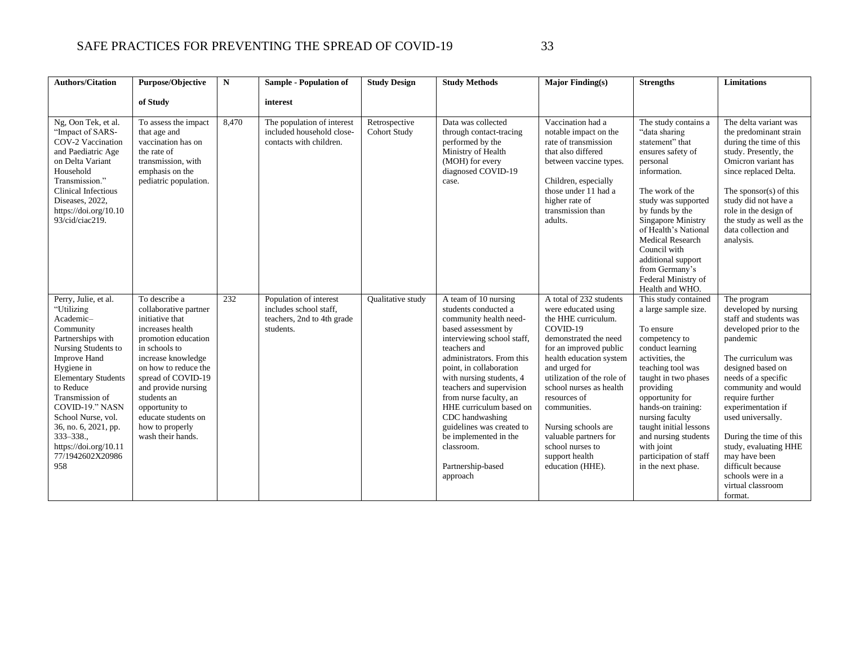| <b>Authors/Citation</b>                                                                                                                                                                                                                                                                                                                   | Purpose/Objective                                                                                                                                                                                                                                                                                                | N     | <b>Sample - Population of</b>                                                               | <b>Study Design</b>                  | <b>Study Methods</b>                                                                                                                                                                                                                                                                                                                                                                                                                     | Major Finding $(s)$                                                                                                                                                                                                                                                                                                                                                                 | <b>Strengths</b>                                                                                                                                                                                                                                                                                                                                        | <b>Limitations</b>                                                                                                                                                                                                                                                                                                                                                                                        |
|-------------------------------------------------------------------------------------------------------------------------------------------------------------------------------------------------------------------------------------------------------------------------------------------------------------------------------------------|------------------------------------------------------------------------------------------------------------------------------------------------------------------------------------------------------------------------------------------------------------------------------------------------------------------|-------|---------------------------------------------------------------------------------------------|--------------------------------------|------------------------------------------------------------------------------------------------------------------------------------------------------------------------------------------------------------------------------------------------------------------------------------------------------------------------------------------------------------------------------------------------------------------------------------------|-------------------------------------------------------------------------------------------------------------------------------------------------------------------------------------------------------------------------------------------------------------------------------------------------------------------------------------------------------------------------------------|---------------------------------------------------------------------------------------------------------------------------------------------------------------------------------------------------------------------------------------------------------------------------------------------------------------------------------------------------------|-----------------------------------------------------------------------------------------------------------------------------------------------------------------------------------------------------------------------------------------------------------------------------------------------------------------------------------------------------------------------------------------------------------|
|                                                                                                                                                                                                                                                                                                                                           | of Study                                                                                                                                                                                                                                                                                                         |       | interest                                                                                    |                                      |                                                                                                                                                                                                                                                                                                                                                                                                                                          |                                                                                                                                                                                                                                                                                                                                                                                     |                                                                                                                                                                                                                                                                                                                                                         |                                                                                                                                                                                                                                                                                                                                                                                                           |
| Ng, Oon Tek, et al.<br>"Impact of SARS-<br>COV-2 Vaccination<br>and Paediatric Age<br>on Delta Variant<br>Household<br>Transmission."<br><b>Clinical Infectious</b><br>Diseases, 2022,<br>https://doi.org/10.10<br>93/cid/ciac219.                                                                                                        | To assess the impact<br>that age and<br>vaccination has on<br>the rate of<br>transmission, with<br>emphasis on the<br>pediatric population.                                                                                                                                                                      | 8,470 | The population of interest<br>included household close-<br>contacts with children.          | Retrospective<br><b>Cohort Study</b> | Data was collected<br>through contact-tracing<br>performed by the<br>Ministry of Health<br>(MOH) for every<br>diagnosed COVID-19<br>case.                                                                                                                                                                                                                                                                                                | Vaccination had a<br>notable impact on the<br>rate of transmission<br>that also differed<br>between vaccine types.<br>Children, especially<br>those under 11 had a<br>higher rate of<br>transmission than<br>adults.                                                                                                                                                                | The study contains a<br>"data sharing<br>statement" that<br>ensures safety of<br>personal<br>information.<br>The work of the<br>study was supported<br>by funds by the<br>Singapore Ministry<br>of Health's National<br><b>Medical Research</b><br>Council with<br>additional support<br>from Germany's<br>Federal Ministry of<br>Health and WHO.       | The delta variant was<br>the predominant strain<br>during the time of this<br>study. Presently, the<br>Omicron variant has<br>since replaced Delta.<br>The sponsor(s) of this<br>study did not have a<br>role in the design of<br>the study as well as the<br>data collection and<br>analysis.                                                                                                            |
| Perry, Julie, et al.<br>"Utilizing<br>Academic-<br>Community<br>Partnerships with<br>Nursing Students to<br>Improve Hand<br>Hygiene in<br><b>Elementary Students</b><br>to Reduce<br>Transmission of<br>COVID-19." NASN<br>School Nurse, vol.<br>36, no. 6, 2021, pp.<br>$333 - 338.$<br>https://doi.org/10.11<br>77/1942602X20986<br>958 | To describe a<br>collaborative partner<br>initiative that<br>increases health<br>promotion education<br>in schools to<br>increase knowledge<br>on how to reduce the<br>spread of COVID-19<br>and provide nursing<br>students an<br>opportunity to<br>educate students on<br>how to properly<br>wash their hands. | 232   | Population of interest<br>includes school staff,<br>teachers, 2nd to 4th grade<br>students. | Qualitative study                    | A team of 10 nursing<br>students conducted a<br>community health need-<br>based assessment by<br>interviewing school staff,<br>teachers and<br>administrators. From this<br>point, in collaboration<br>with nursing students, 4<br>teachers and supervision<br>from nurse faculty, an<br>HHE curriculum based on<br>CDC handwashing<br>guidelines was created to<br>be implemented in the<br>classroom.<br>Partnership-based<br>approach | A total of 232 students<br>were educated using<br>the HHE curriculum.<br>COVID-19<br>demonstrated the need<br>for an improved public<br>health education system<br>and urged for<br>utilization of the role of<br>school nurses as health<br>resources of<br>communities.<br>Nursing schools are<br>valuable partners for<br>school nurses to<br>support health<br>education (HHE). | This study contained<br>a large sample size.<br>To ensure<br>competency to<br>conduct learning<br>activities, the<br>teaching tool was<br>taught in two phases<br>providing<br>opportunity for<br>hands-on training:<br>nursing faculty<br>taught initial lessons<br>and nursing students<br>with joint<br>participation of staff<br>in the next phase. | The program<br>developed by nursing<br>staff and students was<br>developed prior to the<br>pandemic<br>The curriculum was<br>designed based on<br>needs of a specific<br>community and would<br>require further<br>experimentation if<br>used universally.<br>During the time of this<br>study, evaluating HHE<br>may have been<br>difficult because<br>schools were in a<br>virtual classroom<br>format. |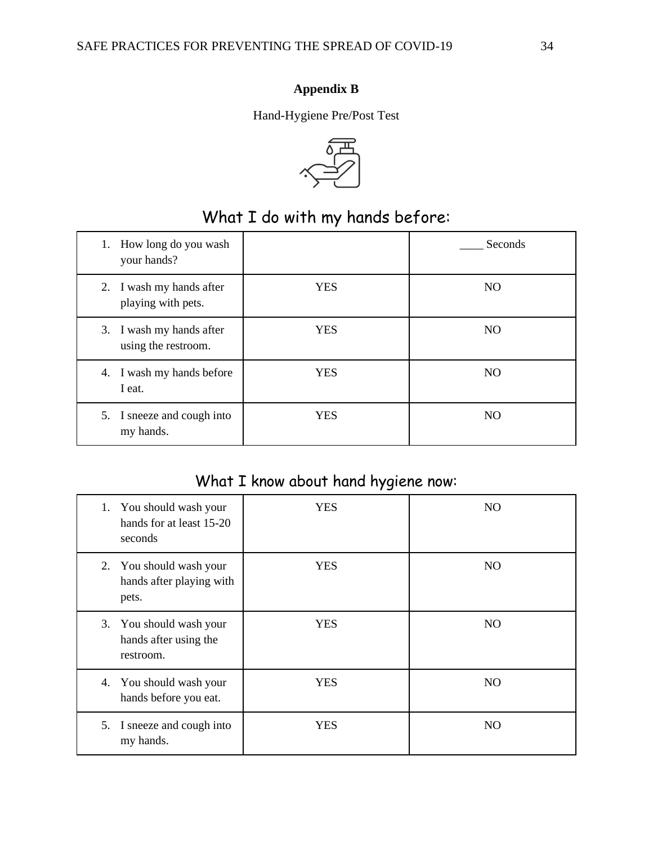## **Appendix B**

Hand-Hygiene Pre/Post Test



# What I do with my hands before:

<span id="page-34-0"></span>

| How long do you wash<br>1.<br>your hands?       |            | Seconds        |
|-------------------------------------------------|------------|----------------|
| 2. I wash my hands after<br>playing with pets.  | <b>YES</b> | N <sub>O</sub> |
| 3. I wash my hands after<br>using the restroom. | <b>YES</b> | N <sub>O</sub> |
| 4. I wash my hands before<br>I eat.             | <b>YES</b> | N <sub>O</sub> |
| 5. I sneeze and cough into<br>my hands.         | <b>YES</b> | N <sub>O</sub> |

# What I know about hand hygiene now:

|    | 1. You should wash your<br>hands for at least 15-20<br>seconds | <b>YES</b> | N <sub>O</sub> |
|----|----------------------------------------------------------------|------------|----------------|
|    | 2. You should wash your<br>hands after playing with<br>pets.   | <b>YES</b> | N <sub>O</sub> |
|    | 3. You should wash your<br>hands after using the<br>restroom.  | <b>YES</b> | N <sub>O</sub> |
|    | 4. You should wash your<br>hands before you eat.               | <b>YES</b> | N <sub>O</sub> |
| 5. | I sneeze and cough into<br>my hands.                           | <b>YES</b> | N <sub>O</sub> |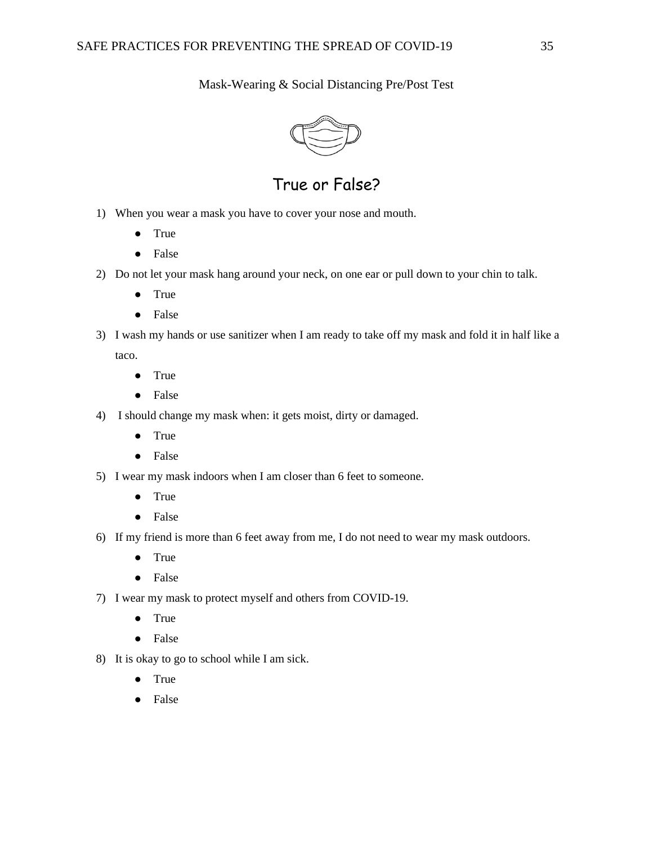Mask-Wearing & Social Distancing Pre/Post Test



True or False?

- 1) When you wear a mask you have to cover your nose and mouth.
	- True
	- False
- 2) Do not let your mask hang around your neck, on one ear or pull down to your chin to talk.
	- True
	- False
- 3) I wash my hands or use sanitizer when I am ready to take off my mask and fold it in half like a taco.
	- True
	- False
- 4) I should change my mask when: it gets moist, dirty or damaged.
	- True
	- False
- 5) I wear my mask indoors when I am closer than 6 feet to someone.
	- True
	- False
- 6) If my friend is more than 6 feet away from me, I do not need to wear my mask outdoors.
	- True
	- False
- 7) I wear my mask to protect myself and others from COVID-19.
	- True
	- False
- 8) It is okay to go to school while I am sick.
	- True
	- False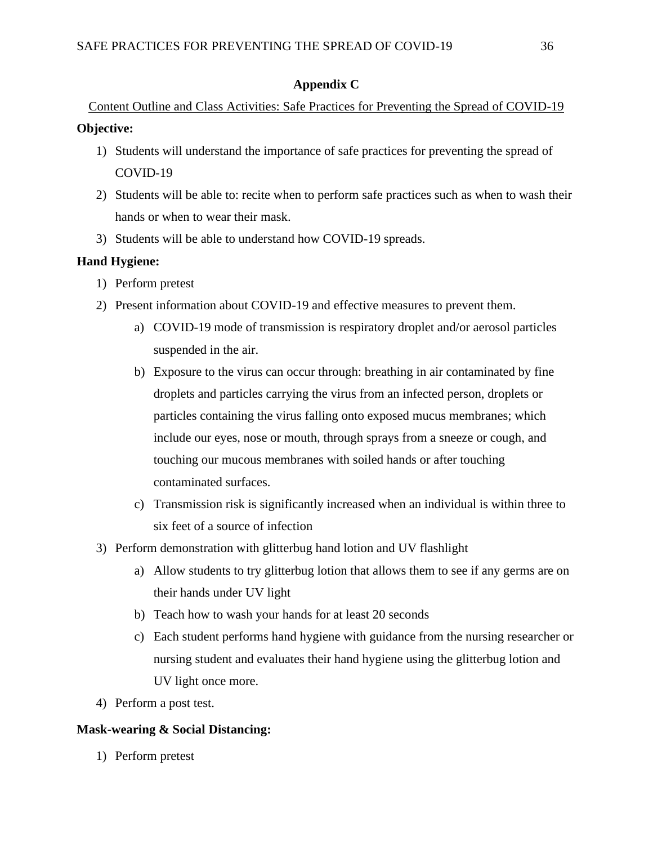## **Appendix C**

Content Outline and Class Activities: Safe Practices for Preventing the Spread of COVID-19 **Objective:**

- 1) Students will understand the importance of safe practices for preventing the spread of COVID-19
- 2) Students will be able to: recite when to perform safe practices such as when to wash their hands or when to wear their mask.
- 3) Students will be able to understand how COVID-19 spreads.

## **Hand Hygiene:**

- 1) Perform pretest
- 2) Present information about COVID-19 and effective measures to prevent them.
	- a) COVID-19 mode of transmission is respiratory droplet and/or aerosol particles suspended in the air.
	- b) Exposure to the virus can occur through: breathing in air contaminated by fine droplets and particles carrying the virus from an infected person, droplets or particles containing the virus falling onto exposed mucus membranes; which include our eyes, nose or mouth, through sprays from a sneeze or cough, and touching our mucous membranes with soiled hands or after touching contaminated surfaces.
	- c) Transmission risk is significantly increased when an individual is within three to six feet of a source of infection
- 3) Perform demonstration with glitterbug hand lotion and UV flashlight
	- a) Allow students to try glitterbug lotion that allows them to see if any germs are on their hands under UV light
	- b) Teach how to wash your hands for at least 20 seconds
	- c) Each student performs hand hygiene with guidance from the nursing researcher or nursing student and evaluates their hand hygiene using the glitterbug lotion and UV light once more.
- 4) Perform a post test.

## **Mask-wearing & Social Distancing:**

1) Perform pretest